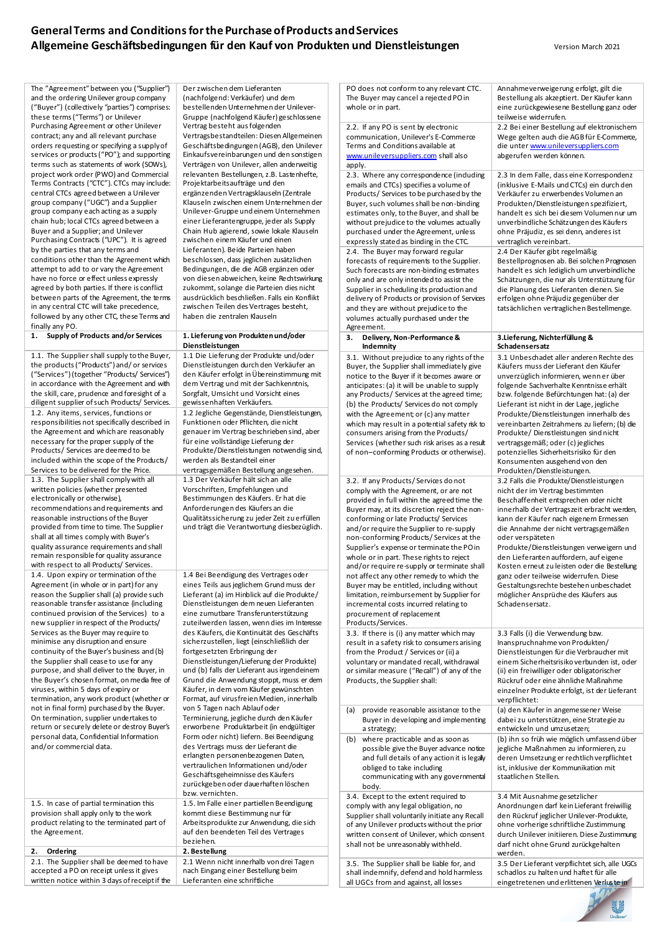The "Agreement" between you ("Supplier") and the ordering Unilever group company ("Buyer") (collectively "parties") comprises: these terms ("Terms") or Unilever Purchasing Agreement or other Unilever contract; any and all relevant purchase orders requesting or specifying a supply of services or products ("PO"); and supporting terms such as statements of work (SOWs), project work order (PWO) and Commercial Terms Contracts ("CTC"). CTCs may include: central CTCs agreed between a Unilever group company ("UGC") and a Supplier group company each acting as a supply chain hub; local CTCs agreed between a Buyer and a Supplier; and Unilever Purchasing Contracts ("UPC"). It is agreed by the parties that any terms and conditions other than the Agreement which attempt to add to or vary the Agreement have no force or effect unless expressly agreed by both parties. If there is conflict between parts of the Agreement, the terms in any central CTC will take precedence, followed by any other CTC, these Terms and finally any PO.

**1. Supply of Products and/or Services 1. Lieferung von Produkten und/oder** 

1.1. The Supplier shall supply to the Buyer, the products ("Products") and/ or services ("Services") (together "Products/ Services") in accordance with the Agreement and with the skill, care, prudence and foresight of a diligent supplier of such Products/ Services. 1.2. Any items, services, functions or responsibilities not specifically described in the Agreement and which are reasonably necessary for the proper supply of the Products/ Services are deemed to be included within the scope of the Products/ Services to be delivered for the Price. 1.3. The Supplier shall comply with all written policies (whether presented electronically or otherwise), recommendations and requirements and reasonable instructions of the Buyer provided from time to time. The Supplier shall at all times comply with Buyer's quality assurance requirements and shall remain responsible for quality assurance with respect to all Products/ Services. 1.4. Upon expiry or termination of the Agreement (in whole or in part) for any reason the Supplier shall (a) provide such reasonable transfer assistance (including continued provision of the Services) to a new supplier in respect of the Products/ Services as the Buver may require to minimise any disruption and ensure continuity of the Buyer's business and (b) the Supplier shall cease to use for any purpose, and shall deliver to the Buyer, in the Buyer's chosen format, on media free of viruses, within 5 days of expiry or termination, any work product (whether or not in final form) purchased by the Buyer. On termination, supplier undertakes to return or securely delete or destroy Buyer's personal data, Confidential Information and/or commercial data.

1.5. In case of partial termination this provision shall apply only to the work product relating to the terminated part of the Agreement.

**2. Ordering 2. Bestellung**

2.1. The Supplier shall be deemed to have accepted a PO on receipt unless it gives written notice within 3 days of receipt if the Der zwischen dem Lieferanten (nachfolgend: Verkäufer) und dem bestellenden Unternehmen der Unilever-Gruppe (nachfolgend Käufer) geschlossene Vertrag besteht aus folgenden Vertragsbestandteilen: DiesenAllgemeinen Geschäftsbedingungen (AGB), den Unilever Einkaufsvereinbarungen und den sonstigen Verträgen von Unilever, allen anderweitig relevanten Bestellungen, z.B. Lastenhefte, Projektarbeitsaufträge und den ergänzendenVertragsklauseln (Zentrale Klauseln zwischen einem Unternehmen der Unilever-Gruppe und einem Unternehmen einer Lieferantengruppe, jeder als Supply Chain Hub agierend, sowie lokale Klauseln zwischen einem Käufer und einen Lieferanten). Beide Parteien haben beschlossen, dass jeglichen zusätzlichen Bedingungen, die die AGB ergänzen oder von diesen abweichen, keine Rechtswirkung zukommt, solange die Parteien dies nicht ausdrücklich beschließen. Falls ein Konflikt zwischen Teilen des Vertrages besteht, haben die zentralen Klauseln

## **Dienstleistungen**

1.1 Die Lieferung der Produkte und/oder Dienstleistungen durch den Verkäufer an den Käufer erfolgt in Übereinstimmung mit dem Vertrag und mit der Sachkenntnis, Sorgfalt, Umsicht und Vorsicht eines gewissenhaften Verkäufers. 1.2 Jegliche Gegenstände, Dienstleistungen, Funktionen oder Pflichten, die nicht genauer im Vertrag beschrieben sind, aber für eine vollständige Lieferung der Produkte/Dienstleistungen notwendig sind, werden als Bestandteil einer vertragsgemäßen Bestellung angesehen. 1.3 Der Verkäufer hält sich an alle Vorschriften, Empfehlungen und Bestimmungen des Käufers. Er hat die Anforderungen des Käufers an die Qualitätssicherung zu jeder Zeit zu erfüllen und trägt die Verantwortung diesbezüglich.

1.4 Bei Beendigung des Vertrages oder eines Teils aus jeglichem Grund muss der Lieferant (a) im Hinblick auf die Produkte/ Dienstleistungen dem neuen Lieferanten eine zumutbare Transferunterstützung zuteilwerden lassen, wenn dies im Interes des Käufers, die Kontinuität des Geschäfts sicherzustellen, liegt (einschließlich der fortgesetzten Erbringung der Dienstleistungen/Lieferung der Produkte) und (b) falls der Lieferant aus irgendeinem Grund die Anwendung stoppt, muss er dem Käufer, in dem vom Käufer gewünschten Format, auf virusfreien Medien, innerhalb von 5 Tagen nach Ablauf oder Terminierung, jegliche durch den Käufer erworbene Produktarbeit (in endgültiger Form oder nicht) liefern. Bei Beendigung des Vertrags muss der Lieferant die erlangten personenbezogenen Daten, vertraulichen Informationen und/oder Geschäftsgeheimnisse des Käufers zurückgeben oder dauerhaften löschen bzw. vernichten. 1.5. Im Falle einer partiellen Beendigung kommt diese Bestimmung nur für Arbeitsprodukte zur Anwendung, die sich auf den beendeten Teil des Vertrages beziehen.<br>2. Bestellung

2.1 Wenn nicht innerhalb von drei Tagen nach Eingang einer Bestellung beim Lieferanten eine schriftliche

| PO does not conform to any relevant CTC.<br>The Buyer may cancel a rejected PO in<br>whole or in part.                                                                                                                                                                                                                                                                                                                                                                                                                                                                                                                                                                                | Annahmeverweigerung erfolgt, gilt die<br>Bestellung als akzeptiert. Der Käufer kann<br>eine zurückgewiesene Bestellung ganz oder<br>teilweise widerrufen.                                                                                                                                                                                                                                                                                                                                                                                                   |
|---------------------------------------------------------------------------------------------------------------------------------------------------------------------------------------------------------------------------------------------------------------------------------------------------------------------------------------------------------------------------------------------------------------------------------------------------------------------------------------------------------------------------------------------------------------------------------------------------------------------------------------------------------------------------------------|-------------------------------------------------------------------------------------------------------------------------------------------------------------------------------------------------------------------------------------------------------------------------------------------------------------------------------------------------------------------------------------------------------------------------------------------------------------------------------------------------------------------------------------------------------------|
| 2.2. If any PO is sent by electronic<br>communication, Unilever's E-Commerce<br>Terms and Conditions available at<br>www.unileversuppliers.com shall also<br>apply.                                                                                                                                                                                                                                                                                                                                                                                                                                                                                                                   | 2.2 Bei einer Bestellung auf elektronischem<br>Wege gelten auch die AGB für E-Commerce,<br>die unter www.unileversuppliers.com<br>abgerufen werden können.                                                                                                                                                                                                                                                                                                                                                                                                  |
| 2.3. Where any correspondence (induding<br>emails and CTCs) specifies a volume of<br>Products/ Services to be purchased by the<br>Buyer, such volumes shall be non-binding<br>estimates only, to the Buyer, and shall be<br>without prejudice to the volumes actually<br>purchased under the Agreement, unless<br>expressly stated as binding in the CTC.                                                                                                                                                                                                                                                                                                                             | 2.3 In dem Falle, dass eine Korrespondenz<br>(inklusive E-Mails und CTCs) ein durch den<br>Verkäufer zu erwerbendes Volumen an<br>Produkten/Dienstleistungen spezifiziert,<br>handelt es sich bei diesem Volumen nur um<br>unverbindliche Schätzungen des Käufers<br>ohne Präjudiz, es sei denn, anderes ist<br>vertraglich vereinbart.                                                                                                                                                                                                                     |
| 2.4. The Buyer may forward regular<br>forecasts of requirements to the Supplier.<br>Such forecasts are non-binding estimates<br>only and are only intended to assist the<br>Supplier in scheduling its production and<br>delivery of Products or provision of Services<br>and they are without prejudice to the<br>volumes actually purchased under the<br>Agreement.                                                                                                                                                                                                                                                                                                                 | 2.4 Der Käufer gibt regelmäßig<br>Bestellprognosen ab. Bei solchen Prognosen<br>handelt es sich lediglich um unverbindliche<br>Schätzungen, die nur als Unterstützung für<br>die Planung des Lieferanten dienen. Sie<br>erfolgen ohne Präjudiz gegenüber der<br>tatsächlichen vertraglichen Bestellmenge.                                                                                                                                                                                                                                                   |
| Delivery, Non-Performance &<br>3.<br>Indemnity                                                                                                                                                                                                                                                                                                                                                                                                                                                                                                                                                                                                                                        | 3.Lieferung, Nichterfüllung &<br>Schadensersatz                                                                                                                                                                                                                                                                                                                                                                                                                                                                                                             |
| 3.1. Without prejudice to any rights of the<br>Buyer, the Supplier shall immediately give<br>notice to the Buyer if it becomes aware or<br>anticipates: (a) it will be unable to supply<br>any Products/ Services at the agreed time;<br>(b) the Products/ Services do not comply<br>with the Agreement; or (c) any matter<br>which may result in a potential safety risk to<br>consumers arising from the Products/<br>Services (whether such risk arises as a result<br>of non-conforming Products or otherwise).                                                                                                                                                                   | 3.1 Unbeschadet aller anderen Rechte des<br>Käufers muss der Lieferant den Käufer<br>unverzüglich informieren, wenn er über<br>folgende Sachverhalte Kenntnisse erhält<br>bzw. folgende Befürchtungen hat: (a) der<br>Lieferant ist nicht in der Lage, jegliche<br>Produkte/Dienstleistungen innerhalb des<br>vereinbarten Zeitrahmens zu liefern; (b) die<br>Produkte/Dienstleistungen sind nicht<br>vertragsgemäß; oder (c) jegliches<br>potenzielles Sicherheitsrisiko für den<br>Konsumenten ausgehend von den<br>Produkten/Dienstleistungen.           |
| 3.2. If any Products/Serviœs do not<br>comply with the Agreement, or are not<br>provided in full within the agreed time the<br>Buyer may, at its discretion reject the non-<br>conforming or late Products/Services<br>and/or require the Supplier to re-supply<br>non-conforming Products/Services at the<br>Supplier's expense or terminate the PO in<br>whole or in part. These rights to reject<br>and/or require re-supply or terminate shall<br>not affect any other remedy to which the<br>Buyer may be entitled, including without<br>limitation, reimbursement by Supplier for<br>incremental costs incurred relating to<br>procurement of replacement<br>Products/Services. | 3.2 Falls die Produkte/Dienstleistungen<br>nicht der im Vertrag bestimmten<br>Beschaffenheit entsprechen oder nicht<br>innerhalb der Vertragszeit erbracht werden,<br>kann der Käufer nach eigenem Ermessen<br>die Annahme der nicht vertragsgemäßen<br>oder verspäteten<br>Produkte/Dienstleistungen verweigern und<br>den Lieferanten auffordern, auf eigene<br>Kosten erneut zu leisten oder die Bestellung<br>ganz oder teilweise widerrufen. Diese<br>Gestaltungsrechte bestehen unbeschadet<br>möglicher Ansprüche des Käufers aus<br>Schadensersatz. |
| 3.3. If there is (i) any matter which may<br>result in a safety risk to consumers arising<br>from the Product / Services or (ii) a<br>voluntary or mandated recall, withdrawal<br>or similar measure ("Recall") of any of the<br>Products, the Supplier shall:                                                                                                                                                                                                                                                                                                                                                                                                                        | 3.3 Falls (i) die Verwendung bzw.<br>Inanspruchnahme von Produkten/<br>Dienstleistungen für die Verbraucher mit<br>einem Sicherheitsrisiko verbunden ist, oder<br>(ii) ein freiwilliger oder obligatorischer<br>Rückruf oder eine ähnliche Maßnahme<br>einzelner Produkte erfolgt, ist der Lieferant<br>verpflichtet:                                                                                                                                                                                                                                       |
| provide reasonable assistance to the<br>(a)<br>Buyer in developing and implementing<br>a strategy;                                                                                                                                                                                                                                                                                                                                                                                                                                                                                                                                                                                    | (a) den Käufer in angemessener Weise<br>dabei zu unterstützen, eine Strategie zu<br>entwickeln und umzusetzen;                                                                                                                                                                                                                                                                                                                                                                                                                                              |
| where practicable and as soon as<br>(b)<br>possible give the Buyer advance notice<br>and full details of any action it is legally<br>obliged to take including<br>communicating with any governmental<br>body.                                                                                                                                                                                                                                                                                                                                                                                                                                                                        | (b) ihn so früh wie möglich umfassend über<br>jegliche Maßnahmen zu informieren, zu<br>deren Umsetzung er rechtlich verpflichtet<br>ist, inklusive der Kommunikation mit<br>staatlichen Stellen.                                                                                                                                                                                                                                                                                                                                                            |
| 3.4. Except to the extent required to<br>comply with any legal obligation, no<br>Supplier shall voluntarily initiate any Recall<br>of any Unilever products without the prior<br>written consent of Unilever, which consent<br>shall not be unreasonably withheld.                                                                                                                                                                                                                                                                                                                                                                                                                    | 3.4 Mit Ausnahme gesetzlicher<br>Anordnungen darf kein Lieferant freiwillig<br>den Rückruf jeglicher Unilever-Produkte,<br>ohne vorherige schriftliche Zustimmung<br>durch Unilever initiieren. Diese Zustimmung<br>darf nicht ohne Grund zurückgehalten<br>werden.                                                                                                                                                                                                                                                                                         |
| 3.5. The Supplier shall be liable for, and<br>shall indemnify, defend and hold harmless<br>all UGCs from and against, all losses                                                                                                                                                                                                                                                                                                                                                                                                                                                                                                                                                      | 3.5 Der Lieferant verpflichtet sich, alle UGCs<br>schadlos zu halten und haftet für alle<br>eingetretenen und erlittenen Verluste in                                                                                                                                                                                                                                                                                                                                                                                                                        |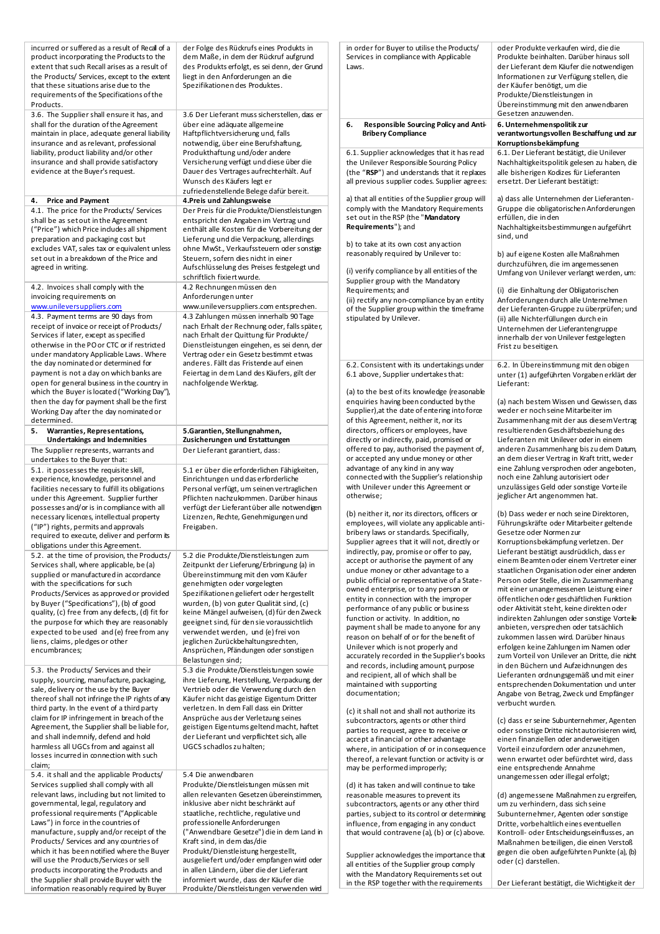| incurred or suffered as a result of Recall of a<br>product incorporating the Products to the<br>extent that such Recall arises as a result of<br>the Products/ Services, except to the extent<br>that these situations arise due to the<br>requirements of the Specifications of the<br>Products.<br>3.6. The Supplier shall ensure it has, and<br>shall for the duration of the Agreement | der Folge des Rückrufs eines Produkts in<br>dem Maße, in dem der Rückruf aufgrund<br>des Produkts erfolgt, es sei denn, der Grund<br>liegt in den Anforderungen an die<br>Spezifikationen des Produktes.<br>3.6 Der Lieferant muss sicherstellen, dass er<br>über eine adäquate allgemeine | in order for Buyer to utilise the Products/<br>Services in compliance with Applicable<br>Laws.<br>Responsible Sourcing Policy and Anti-<br>6.                                            | oder Produkte verkaufen wird, die die<br>Produkte beinhalten. Darüber hinaus soll<br>der Lieferant dem Käufer die notwendigen<br>Informationen zur Verfügung stellen, die<br>der Käufer benötigt, um die<br>Produkte/Dienstleistungen in<br>Übereinstimmung mit den anwendbaren<br>Gesetzen anzuwenden. |  |
|--------------------------------------------------------------------------------------------------------------------------------------------------------------------------------------------------------------------------------------------------------------------------------------------------------------------------------------------------------------------------------------------|--------------------------------------------------------------------------------------------------------------------------------------------------------------------------------------------------------------------------------------------------------------------------------------------|------------------------------------------------------------------------------------------------------------------------------------------------------------------------------------------|---------------------------------------------------------------------------------------------------------------------------------------------------------------------------------------------------------------------------------------------------------------------------------------------------------|--|
| maintain in place, adequate general liability<br>insurance and as relevant, professional                                                                                                                                                                                                                                                                                                   | Haftpflichtversicherung und, falls<br>notwendig, über eine Berufshaftung,                                                                                                                                                                                                                  | <b>Bribery Compliance</b>                                                                                                                                                                | 6. Unternehmenspolitik zur<br>verantwortungsvollen Beschaffung und zur<br>Korruptionsbekämpfung                                                                                                                                                                                                         |  |
| liability, product liability and/or other<br>insurance and shall provide satisfactory<br>evidence at the Buyer's request.                                                                                                                                                                                                                                                                  | Produkthaftung und/oder andere<br>Versicherung verfügt und diese über die<br>Dauer des Vertrages aufrechterhält. Auf<br>Wunsch des Käufers legt er<br>zufriedenstellende Belege dafür bereit.                                                                                              | 6.1. Supplier acknowledges that it has read<br>the Unilever Responsible Sourcing Policy<br>(the "RSP") and understands that it replaces<br>all previous supplier codes. Supplier agrees: | 6.1. Der Lieferant bestätigt, die Unilever<br>Nachhaltigkeitspolitik gelesen zu haben, die<br>alle bisherigen Kodizes für Lieferanten<br>ersetzt. Der Lieferant bestätigt:                                                                                                                              |  |
| 4. Price and Payment                                                                                                                                                                                                                                                                                                                                                                       | 4. Preis und Zahlungsweise                                                                                                                                                                                                                                                                 | a) that all entities of the Supplier group will                                                                                                                                          | a) dass alle Unternehmen der Lieferanten-                                                                                                                                                                                                                                                               |  |
| 4.1. The price for the Products/ Services<br>shall be as set out in the Agreement<br>("Price") which Price indudes all shipment                                                                                                                                                                                                                                                            | Der Preis für die Produkte/Dienstleistungen<br>entspricht den Angaben im Vertrag und<br>enthält alle Kosten für die Vorbereitung der                                                                                                                                                       | comply with the Mandatory Requirements<br>set out in the RSP (the "Mandatory<br>Requirements"); and                                                                                      | Gruppe die obligatorischen Anforderungen<br>erfüllen, die in den<br>Nachhaltigkeits bestimmungen aufgeführt                                                                                                                                                                                             |  |
| preparation and packaging cost but                                                                                                                                                                                                                                                                                                                                                         | Lieferung und die Verpackung, allerdings                                                                                                                                                                                                                                                   |                                                                                                                                                                                          | sind, und                                                                                                                                                                                                                                                                                               |  |
| excludes VAT, sales tax or equivalent unless                                                                                                                                                                                                                                                                                                                                               | ohne MwSt., Verkaufssteuern oder sonstige                                                                                                                                                                                                                                                  | b) to take at its own cost any action<br>reasonably required by Unilever to:                                                                                                             | b) auf eigene Kosten alle Maßnahmen                                                                                                                                                                                                                                                                     |  |
| set out in a breakdown of the Price and<br>agreed in writing.                                                                                                                                                                                                                                                                                                                              | Steuern, sofern dies nicht in einer<br>Aufschlüsselung des Preises festgelegt und<br>schriftlich fixiert wurde.                                                                                                                                                                            | (i) verify compliance by all entities of the<br>Supplier group with the Mandatory                                                                                                        | durchzuführen, die im angemessenen<br>Umfang von Unilever verlangt werden, um:                                                                                                                                                                                                                          |  |
| 4.2. Invoices shall comply with the                                                                                                                                                                                                                                                                                                                                                        | 4.2 Rechnungen müssen den                                                                                                                                                                                                                                                                  | Requirements; and                                                                                                                                                                        | (i) die Einhaltung der Obligatorischen                                                                                                                                                                                                                                                                  |  |
| invoicing requirements on                                                                                                                                                                                                                                                                                                                                                                  | Anforderungen unter                                                                                                                                                                                                                                                                        | (ii) rectify any non-compliance by an entity                                                                                                                                             | Anforderungen durch alle Unternehmen                                                                                                                                                                                                                                                                    |  |
| www.unileversuppliers.com                                                                                                                                                                                                                                                                                                                                                                  | www.unileversuppliers.com entsprechen.                                                                                                                                                                                                                                                     | of the Supplier group within the timeframe                                                                                                                                               | der Lieferanten-Gruppe zu überprüfen; und                                                                                                                                                                                                                                                               |  |
| 4.3. Payment terms are 90 days from                                                                                                                                                                                                                                                                                                                                                        | 4.3 Zahlungen müssen innerhalb 90 Tage                                                                                                                                                                                                                                                     | stipulated by Unilever.                                                                                                                                                                  | (ii) alle Nichterfüllungen durch ein                                                                                                                                                                                                                                                                    |  |
| receipt of invoice or receipt of Products/                                                                                                                                                                                                                                                                                                                                                 | nach Erhalt der Rechnung oder, falls später,                                                                                                                                                                                                                                               |                                                                                                                                                                                          | Unternehmen der Lieferantengruppe                                                                                                                                                                                                                                                                       |  |
| Services if later, except as specified<br>otherwise in the PO or CTC or if restricted                                                                                                                                                                                                                                                                                                      | nach Erhalt der Quittung für Produkte/                                                                                                                                                                                                                                                     |                                                                                                                                                                                          | innerhalb der von Unilever festgelegten                                                                                                                                                                                                                                                                 |  |
| under mandatory Applicable Laws. Where                                                                                                                                                                                                                                                                                                                                                     | Dienstleistungen eingehen, es sei denn, der<br>Vertrag oder ein Gesetz bestimmt etwas                                                                                                                                                                                                      |                                                                                                                                                                                          | Frist zu beseitigen.                                                                                                                                                                                                                                                                                    |  |
| the day nominated or determined for                                                                                                                                                                                                                                                                                                                                                        | anderes. Fällt das Fristende auf einen                                                                                                                                                                                                                                                     | 6.2. Consistent with its undertakings under                                                                                                                                              | 6.2. In Übereinstimmung mit den obigen                                                                                                                                                                                                                                                                  |  |
| payment is not a day on which banks are                                                                                                                                                                                                                                                                                                                                                    | Feiertag in dem Land des Käufers, gilt der                                                                                                                                                                                                                                                 | 6.1 above, Supplier undertakes that:                                                                                                                                                     | unter (1) aufgeführten Vorgaben erklärt der                                                                                                                                                                                                                                                             |  |
| open for general business in the country in<br>which the Buyer is located ("Working Day"),                                                                                                                                                                                                                                                                                                 | nachfolgende Werktag.                                                                                                                                                                                                                                                                      | (a) to the best of its knowledge (reasonable                                                                                                                                             | Lieferant:                                                                                                                                                                                                                                                                                              |  |
| then the day for payment shall be the first                                                                                                                                                                                                                                                                                                                                                |                                                                                                                                                                                                                                                                                            | enquiries having been conducted by the                                                                                                                                                   | (a) nach bestem Wissen und Gewissen, dass                                                                                                                                                                                                                                                               |  |
| Working Day after the day nominated or                                                                                                                                                                                                                                                                                                                                                     |                                                                                                                                                                                                                                                                                            | Supplier), at the date of entering into force                                                                                                                                            | weder er noch seine Mitarbeiter im                                                                                                                                                                                                                                                                      |  |
| determined.                                                                                                                                                                                                                                                                                                                                                                                |                                                                                                                                                                                                                                                                                            | of this Agreement, neither it, nor its                                                                                                                                                   | Zusammenhang mit der aus diesem Vertrag                                                                                                                                                                                                                                                                 |  |
| 5. Warranties, Representations,                                                                                                                                                                                                                                                                                                                                                            | 5.Garantien, Stellungnahmen,                                                                                                                                                                                                                                                               | directors, officers or employees, have                                                                                                                                                   | resultierenden Geschäftsbeziehung des                                                                                                                                                                                                                                                                   |  |
| <b>Undertakings and Indemnities</b>                                                                                                                                                                                                                                                                                                                                                        | Zusicherungen und Erstattungen                                                                                                                                                                                                                                                             | directly or indirectly, paid, promised or                                                                                                                                                | Lieferanten mit Unilever oder in einem                                                                                                                                                                                                                                                                  |  |
| The Supplier represents, warrants and                                                                                                                                                                                                                                                                                                                                                      | Der Lieferant garantiert, dass:                                                                                                                                                                                                                                                            | offered to pay, authorised the payment of,                                                                                                                                               | anderen Zusammenhang bis zu dem Datum,                                                                                                                                                                                                                                                                  |  |
| undertakes to the Buyer that:                                                                                                                                                                                                                                                                                                                                                              |                                                                                                                                                                                                                                                                                            | or accepted any undue money or other                                                                                                                                                     | an dem dieser Vertrag in Kraft tritt, weder                                                                                                                                                                                                                                                             |  |
| 5.1. it possesses the requisite skill,                                                                                                                                                                                                                                                                                                                                                     | 5.1 er über die erforderlichen Fähigkeiten,                                                                                                                                                                                                                                                | advantage of any kind in any way<br>connected with the Supplier's relationship                                                                                                           | eine Zahlung versprochen oder angeboten,                                                                                                                                                                                                                                                                |  |
| experience, knowledge, personnel and                                                                                                                                                                                                                                                                                                                                                       | Einrichtungen und das erforderliche                                                                                                                                                                                                                                                        | with Unilever under this Agreement or                                                                                                                                                    | noch eine Zahlung autorisiert oder<br>unzulässiges Geld oder sonstige Vorteile                                                                                                                                                                                                                          |  |
| facilities necessary to fulfill its obligations                                                                                                                                                                                                                                                                                                                                            | Personal verfügt, um seinen vertraglichen                                                                                                                                                                                                                                                  | otherwise;                                                                                                                                                                               | jeglicher Art angenommen hat.                                                                                                                                                                                                                                                                           |  |
| under this Agreement. Supplier further<br>possesses and/or is in compliance with all                                                                                                                                                                                                                                                                                                       | Pflichten nachzukommen. Darüber hinaus<br>verfügt der Lieferant über alle notwendigen                                                                                                                                                                                                      |                                                                                                                                                                                          |                                                                                                                                                                                                                                                                                                         |  |
| necessary licences, intellectual property                                                                                                                                                                                                                                                                                                                                                  | Lizenzen, Rechte, Genehmigungen und                                                                                                                                                                                                                                                        | (b) neither it, nor its directors, officers or                                                                                                                                           | (b) Dass weder er noch seine Direktoren,                                                                                                                                                                                                                                                                |  |
| ("IP") rights, permits and approvals                                                                                                                                                                                                                                                                                                                                                       | Freigaben.                                                                                                                                                                                                                                                                                 | employees, will violate any applicable anti-                                                                                                                                             | Führungskräfte oder Mitarbeiter geltende                                                                                                                                                                                                                                                                |  |
| required to execute, deliver and perform its                                                                                                                                                                                                                                                                                                                                               |                                                                                                                                                                                                                                                                                            | bribery laws or standards. Specifically,                                                                                                                                                 | Gesetze oder Normen zur                                                                                                                                                                                                                                                                                 |  |
| obligations under this Agreement.                                                                                                                                                                                                                                                                                                                                                          |                                                                                                                                                                                                                                                                                            | Supplier agrees that it will not, directly or                                                                                                                                            | Korruptionsbekämpfung verletzen. Der                                                                                                                                                                                                                                                                    |  |
| 5.2. at the time of provision, the Products/                                                                                                                                                                                                                                                                                                                                               | 5.2 die Produkte/Dienstleistungen zum                                                                                                                                                                                                                                                      | indirectly, pay, promise or offer to pay,                                                                                                                                                | Lieferant bestätigt ausdrücklich, dass er                                                                                                                                                                                                                                                               |  |
| Services shall, where applicable, be (a)                                                                                                                                                                                                                                                                                                                                                   | Zeitpunkt der Lieferung/Erbringung (a) in                                                                                                                                                                                                                                                  | accept or authorise the payment of any                                                                                                                                                   | einem Beamten oder einem Vertreter einer                                                                                                                                                                                                                                                                |  |
| supplied or manufactured in accordance                                                                                                                                                                                                                                                                                                                                                     | Übereinstimmung mit den vom Käufer                                                                                                                                                                                                                                                         | undue money or other advantage to a                                                                                                                                                      | staatlichen Organisation oder einer anderen                                                                                                                                                                                                                                                             |  |
| with the specifications for such                                                                                                                                                                                                                                                                                                                                                           | genehmigten oder vorgelegten                                                                                                                                                                                                                                                               | public official or representative of a State-<br>owned enterprise, or to any person or                                                                                                   | Person oder Stelle, die im Zusammenhang<br>mit einer unangemessenen Leistung einer                                                                                                                                                                                                                      |  |
| Products/Services as approved or provided                                                                                                                                                                                                                                                                                                                                                  | Spezifikationen geliefert oder hergestellt                                                                                                                                                                                                                                                 | entity in connection with the improper                                                                                                                                                   | öffentlichen oder geschäftlichen Funktion                                                                                                                                                                                                                                                               |  |
| by Buyer ("Specifications"), (b) of good                                                                                                                                                                                                                                                                                                                                                   | wurden, (b) von guter Qualität sind, (c)                                                                                                                                                                                                                                                   | performance of any public or business                                                                                                                                                    | oder Aktivität steht, keine direkten oder                                                                                                                                                                                                                                                               |  |
| quality, (c) free from any defects, (d) fit for                                                                                                                                                                                                                                                                                                                                            | keine Mängel aufweisen, (d) für den Zweck                                                                                                                                                                                                                                                  | function or activity. In addition, no                                                                                                                                                    | indirekten Zahlungen oder sonstige Vorteile                                                                                                                                                                                                                                                             |  |
| the purpose for which they are reasonably                                                                                                                                                                                                                                                                                                                                                  | geeignet sind, für den sie voraussichtlich                                                                                                                                                                                                                                                 | payment shall be made to anyone for any                                                                                                                                                  | anbieten, versprechen oder tatsächlich                                                                                                                                                                                                                                                                  |  |
| expected to be used and (e) free from any<br>liens, claims, pledges or other                                                                                                                                                                                                                                                                                                               | verwendet werden, und (e) frei von<br>jeglichen Zurückbehaltungsrechten,                                                                                                                                                                                                                   | reason on behalf of or for the benefit of                                                                                                                                                | zukommen lassen wird. Darüber hinaus                                                                                                                                                                                                                                                                    |  |
| encumbrances;                                                                                                                                                                                                                                                                                                                                                                              | Ansprüchen, Pfändungen oder sonstigen                                                                                                                                                                                                                                                      | Unilever which is not properly and                                                                                                                                                       | erfolgen keine Zahlungen im Namen oder                                                                                                                                                                                                                                                                  |  |
|                                                                                                                                                                                                                                                                                                                                                                                            | Belastungen sind;                                                                                                                                                                                                                                                                          | accurately recorded in the Supplier's books                                                                                                                                              | zum Vorteil von Unilever an Dritte, die nicht                                                                                                                                                                                                                                                           |  |
| 5.3. the Products/ Services and their                                                                                                                                                                                                                                                                                                                                                      | 5.3 die Produkte/Dienstleistungen sowie                                                                                                                                                                                                                                                    | and records, including amount, purpose                                                                                                                                                   | in den Büchern und Aufzeichnungen des                                                                                                                                                                                                                                                                   |  |
| supply, sourcing, manufacture, packaging,                                                                                                                                                                                                                                                                                                                                                  | ihre Lieferung, Herstellung, Verpackung der                                                                                                                                                                                                                                                | and recipient, all of which shall be                                                                                                                                                     | Lieferanten ordnungsgemäß und mit einer                                                                                                                                                                                                                                                                 |  |
| sale, delivery or the use by the Buyer                                                                                                                                                                                                                                                                                                                                                     | Vertrieb oder die Verwendung durch den                                                                                                                                                                                                                                                     | maintained with supporting<br>documentation;                                                                                                                                             | entsprechenden Dokumentation und unter                                                                                                                                                                                                                                                                  |  |
| thereof shall not infringe the IP rights of any                                                                                                                                                                                                                                                                                                                                            | Käufer nicht das geistige Eigentum Dritter                                                                                                                                                                                                                                                 |                                                                                                                                                                                          | Angabe von Betrag, Zweck und Empfänger<br>verbucht wurden.                                                                                                                                                                                                                                              |  |
| third party. In the event of a third party                                                                                                                                                                                                                                                                                                                                                 | verletzen. In dem Fall dass ein Dritter                                                                                                                                                                                                                                                    | (c) it shall not and shall not authorize its                                                                                                                                             |                                                                                                                                                                                                                                                                                                         |  |
| claim for IP infringement in breach of the                                                                                                                                                                                                                                                                                                                                                 | Ansprüche aus der Verletzung seines                                                                                                                                                                                                                                                        | subcontractors, agents or other third                                                                                                                                                    | (c) dass er seine Subunternehmer, Agenten                                                                                                                                                                                                                                                               |  |
| Agreement, the Supplier shall be liable for,                                                                                                                                                                                                                                                                                                                                               | geistigen Eigentums geltend macht, haftet                                                                                                                                                                                                                                                  | parties to request, agree to receive or                                                                                                                                                  | oder sonstige Dritte nicht autorisieren wird,                                                                                                                                                                                                                                                           |  |
| and shall indemnify, defend and hold                                                                                                                                                                                                                                                                                                                                                       | der Lieferant und verpflichtet sich, alle                                                                                                                                                                                                                                                  | accept a financial or other advantage                                                                                                                                                    | einen finanziellen oder anderweitigen                                                                                                                                                                                                                                                                   |  |
| harmless all UGCs from and against all                                                                                                                                                                                                                                                                                                                                                     | UGCS schadlos zu halten;                                                                                                                                                                                                                                                                   | where, in anticipation of or in consequence                                                                                                                                              | Vorteil einzufordern oder anzunehmen,                                                                                                                                                                                                                                                                   |  |
| losses incurred in connection with such                                                                                                                                                                                                                                                                                                                                                    |                                                                                                                                                                                                                                                                                            | thereof, a relevant function or activity is or                                                                                                                                           | wenn erwartet oder befürchtet wird, dass                                                                                                                                                                                                                                                                |  |
| claim;<br>5.4. it shall and the applicable Products/                                                                                                                                                                                                                                                                                                                                       | 5.4 Die anwendbaren                                                                                                                                                                                                                                                                        | may be performed improperly;                                                                                                                                                             | eine entsprechende Annahme                                                                                                                                                                                                                                                                              |  |
| Services supplied shall comply with all                                                                                                                                                                                                                                                                                                                                                    | Produkte/Dienstleistungen müssen mit                                                                                                                                                                                                                                                       | (d) it has taken and will continue to take                                                                                                                                               | unangemessen oder illegal erfolgt;                                                                                                                                                                                                                                                                      |  |
| relevant laws, including but not limited to                                                                                                                                                                                                                                                                                                                                                | allen relevanten Gesetzen übereinstimmen,                                                                                                                                                                                                                                                  | reasonable measures to prevent its                                                                                                                                                       | (d) angemessene Maßnahmen zu ergreifen,                                                                                                                                                                                                                                                                 |  |
| governmental, legal, regulatory and                                                                                                                                                                                                                                                                                                                                                        | inklusive aber nicht beschränkt auf                                                                                                                                                                                                                                                        | subcontractors, agents or any other third                                                                                                                                                | um zu verhindern, dass sich seine                                                                                                                                                                                                                                                                       |  |
| professional requirements ("Applicable                                                                                                                                                                                                                                                                                                                                                     | staatliche, rechtliche, regulative und                                                                                                                                                                                                                                                     | parties, subject to its control or determining                                                                                                                                           | Subunternehmer, Agenten oder sonstige                                                                                                                                                                                                                                                                   |  |
| Laws") in force in the countries of                                                                                                                                                                                                                                                                                                                                                        | professionelle Anforderungen                                                                                                                                                                                                                                                               | influence, from engaging in any conduct                                                                                                                                                  | Dritte, vorbehaltlich eines eventuellen                                                                                                                                                                                                                                                                 |  |
| manufacture, supply and/or receipt of the                                                                                                                                                                                                                                                                                                                                                  | ("Anwendbare Gesetze") die in dem Land in                                                                                                                                                                                                                                                  | that would contravene (a), (b) or (c) above.                                                                                                                                             | Kontroll- oder Entscheidungseinflusses, an                                                                                                                                                                                                                                                              |  |
| Products/ Services and any countries of                                                                                                                                                                                                                                                                                                                                                    | Kraft sind, in dem das/die                                                                                                                                                                                                                                                                 |                                                                                                                                                                                          | Maßnahmen beteiligen, die einen Verstoß                                                                                                                                                                                                                                                                 |  |
| which it has been notified where the Buyer                                                                                                                                                                                                                                                                                                                                                 | Produkt/Dienstleistung hergestellt,                                                                                                                                                                                                                                                        | Supplier acknowledges the importance that                                                                                                                                                | gegen die oben aufgeführten Punkte (a), (b)                                                                                                                                                                                                                                                             |  |
| will use the Products/Services or sell                                                                                                                                                                                                                                                                                                                                                     | ausgeliefert und/oder empfangen wird oder                                                                                                                                                                                                                                                  | all entities of the Supplier group comply                                                                                                                                                | oder (c) darstellen.                                                                                                                                                                                                                                                                                    |  |
| products incorporating the Products and<br>the Supplier shall provide Buyer with the                                                                                                                                                                                                                                                                                                       | in allen Ländern, über die der Lieferant<br>informiert wurde, dass der Käufer die                                                                                                                                                                                                          | with the Mandatory Requirements set out<br>in the PSD together with the requirements                                                                                                     |                                                                                                                                                                                                                                                                                                         |  |
|                                                                                                                                                                                                                                                                                                                                                                                            |                                                                                                                                                                                                                                                                                            |                                                                                                                                                                                          | Der Lieferant bestätigt, die Wichtigkeit der                                                                                                                                                                                                                                                            |  |

information reasonably required by Buyer

Produkte/Dienstleistungen verwenden wird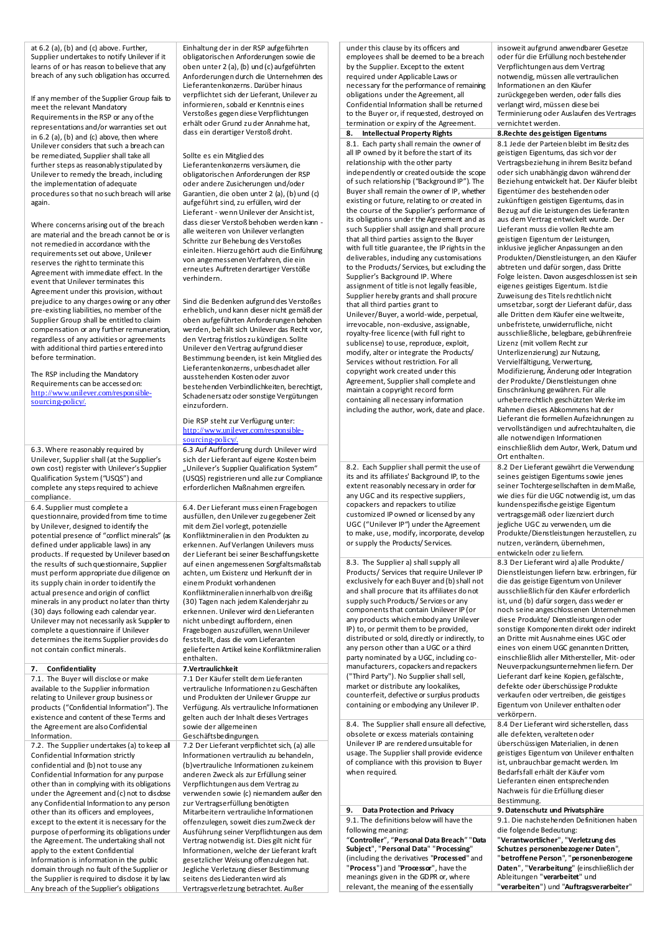at 6.2 (a), (b) and (c) above. Further, Supplier undertakes to notify Unilever if it learns of or has reason to believe that any breach of any such obligation has occurred.

If any member of the Supplier Group fails to meet the relevant Mandatory Requirements in the RSP or any of the representations and/or warranties set out in 6.2 (a), (b) and (c) above, then where Unilever considers that such a breach can be remediated, Supplier shall take all further steps as reasonably stipulated by Unilever to remedy the breach, including the implementation of adequate procedures so that no such breach will arise again.

Where concerns arising out of the breach are material and the breach cannot be or is not remedied in accordance with the requirements set out above, Unilever reserves the right to terminate this Agreement with immediate effect. In the event that Unilever terminates this Agreement under this provision, without prejudice to any charges owing or any other pre-existing liabilities, no member of the Supplier Group shall be entitled to claim compensation or any further remuneration, regardless of any activities or agreements with additional third parties entered into before termination.

The RSP including the Mandatory Requirements can be accessed on: [http://www.unilever.com/responsible](http://www.unilever.com/responsible-sourcing-policy/)[sourcing-policy/](http://www.unilever.com/responsible-sourcing-policy/)

6.3. Where reasonably required by Unilever, Supplier shall (at the Supplier's own cost) register with Unilever's Supplier Qualification System ("USQS") and complete any steps required to achieve compliance.

6.4. Supplier must complete a questionnaire, provided from time to time by Unilever, designed to identify the potential presence of "conflict minerals" (as defined under applicable laws) in any products. If requested by Unilever based on the results of such questionnaire, Supplier must perform appropriate due diligence on its supply chain in order to identify the actual presence and origin of conflict minerals in any product no later than thirty (30) days following each calendar year. Unilever may not necessarily ask Supplier to complete a questionnaire if Unilever determines the items Supplier provides do not contain conflict minerals.

## **7. Confidentiality 7.Vertraulichkeit**

7.1. The Buyer will disclose or make available to the Supplier information relating to Unilever group business or products ("Confidential Information"). The existence and content of these Terms and the Agreement are also Confidential Information.

7.2. The Supplier undertakes (a) to keep all Confidential Information strictly confidential and (b) not to use any Confidential Information for any purpose other than in complying with its obligations under the Agreement and (c) not to disclose any Confidential Information to any person other than its officers and employees, except to the extent it is necessary for the purpose of performing its obligations under the Agreement. The undertaking shall not apply to the extent Confidential Information is information in the public domain through no fault of the Supplier or the Supplier is required to disclose it by law. Any breach of the Supplier's obligations

Einhaltung der in der RSP aufgeführten obligatorischen Anforderungen sowie die oben unter 2 (a), (b) und (c) aufgeführten Anforderungen durch die Unternehmen des Lieferantenkonzerns. Darüber hinaus verpflichtet sich der Lieferant, Unilever zu informieren, sobald er Kenntnis eines Verstoßes gegen diese Verpflichtungen erhält oder Grund zu der Annahme hat, dass ein derartiger Verstoß droht.

## Sollte es ein Mitglied des

Lieferantenkonzerns versäumen, die obligatorischen Anforderungen der RSP oder andere Zusicherungen und/oder Garantien, die oben unter 2 (a), (b) und (c) aufgeführt sind, zu erfüllen, wird der Lieferant - wenn Unilever der Ansicht ist, dass dieser Verstoß behoben werden kann alle weiteren von Unilever verlangten Schritte zur Behebung des Verstoßes einleiten. Hierzu gehört auch die Einführung von angemessenen Verfahren, die ein erneutes Auftreten derartiger Verstöße verhindern.

Sind die Bedenken aufgrund des Verstoßes erheblich, und kann dieser nicht gemäß der oben aufgeführten Anforderungen behoben werden, behält sich Unilever das Recht vor, den Vertrag fristlos zu kündigen. Sollte Unilever den Vertrag aufgrund dieser Bestimmung beenden, ist kein Mitglied des Lieferantenkonzerns, unbeschadet aller ausstehenden Kosten oder zuvor bestehenden Verbindlichkeiten, berechtigt, Schadenersatz oder sonstige Vergütungen einzufordern.

## Die RSP steht zur Verfügung unter: [http://www.unilever.com/responsible](https://urldefense.proofpoint.com/v2/url?u=http-3A__www.unilever.com_responsible-2Dsourcing-2Dpolicy_&d=CwMFAw&c=4ZIZThykDLcoWk-GVjSLm9hvvvzvGv0FLoWSRuCSs5Q&r=DG0-kGDbttCeGB1KzsKWALNmjjFFjl1me-wrRxCGvXLXPSTCHm6iQ41l7Ws7K2ul&m=gi3CC3stm2plyefYUqPZ_J2dqg62RyXPCC8y0FbrnX8&s=fBsUYbSnwhZzqZc7bR0hKB6y5aRSY79-kwAoCa-Gpp8&e=)[sourcing-policy/.](https://urldefense.proofpoint.com/v2/url?u=http-3A__www.unilever.com_responsible-2Dsourcing-2Dpolicy_&d=CwMFAw&c=4ZIZThykDLcoWk-GVjSLm9hvvvzvGv0FLoWSRuCSs5Q&r=DG0-kGDbttCeGB1KzsKWALNmjjFFjl1me-wrRxCGvXLXPSTCHm6iQ41l7Ws7K2ul&m=gi3CC3stm2plyefYUqPZ_J2dqg62RyXPCC8y0FbrnX8&s=fBsUYbSnwhZzqZc7bR0hKB6y5aRSY79-kwAoCa-Gpp8&e=)

6.3 Auf Aufforderung durch Unilever wird sich der Lieferant auf eigene Kosten beim "Unilever's Supplier Qualification System' (USQS) registrieren und alle zur Compliance erforderlichen Maßnahmen ergreifen.

6.4. Der Lieferant muss einen Fragebogen ausfüllen, den Unilever zu gegebener Zeit mit dem Ziel vorlegt, potenzielle Konfliktmineralien in den Produkten zu erkennen. Auf Verlangen Unilevers muss der Lieferant bei seiner Beschaffungskette auf einen angemessenen Sorgfaltsmaßstab achten, um Existenz und Herkunft der in einem Produkt vorhandenen Konfliktmineralien innerhalb von dreißig (30) Tagen nach jedem Kalenderjahr zu erkennen. Unilever wird den Lieferanten nicht unbedingt auffordern, einen Fragebogen auszufüllen, wenn Unilever feststellt, dass die vom Lieferanten gelieferten Artikel keine Konfliktmineralien enthalten.

7.1 Der Käufer stellt dem Lieferanten vertrauliche Informationen zu Geschäften und Produkten der Unilever Gruppe zur Verfügung. Als vertrauliche Informationen gelten auch der Inhalt dieses Vertrages sowie der allgemeinen

Geschäftsbedingungen. 7.2 Der Lieferant verpflichtet sich, (a) alle Informationen vertraulich zu behandeln, (b)vertrauliche Informationen zu keinem anderen Zweck als zur Erfüllung seiner Verpflichtungen aus dem Vertrag zu verwenden sowie (c) niemandem außer den zur Vertragserfüllung benötigten Mitarbeitern vertrauliche Informationen offenzulegen, soweit dies zum Zweck der Ausführung seiner Verpflichtungen aus dem Vertrag notwendig ist. Dies gilt nicht für Informationen, welche der Lieferant kraft gesetzlicher Weisung offenzulegen hat. Jegliche Verletzung dieser Bestimmung seitens des Liederanten wird als Vertragsverletzung betrachtet. Außer

under this clause by its officers and employees shall be deemed to be a breach by the Supplier. Except to the extent required under Applicable Laws or necessary for the performance of remaining obligations under the Agreement, all Confidential Information shall be returned to the Buyer or, if requested, destroyed on termination or expiry of the Agreement<br>8. Intellectual Property Rights

8.1. Each party shall remain the owner of all IP owned by it before the start of its relationship with the other party independently or created outside the scope of such relationship ("Background IP"). The Buyer shall remain the owner of IP, whether existing or future, relating to or created in the course of the Supplier's performance of its obligations under the Agreement and as such Supplier shall assign and shall procure that all third parties assign to the Buyer with full title guarantee, the IP rights in the deliverables, including any customisations to the Products/ Services, but excluding the Supplier's Background IP. Where assignment of title is not legally feasible, Supplier hereby grants and shall procure that all third parties grant to Unilever/Buyer, a world-wide, perpetual, irrevocable, non-exclusive, assignable, royalty-free licence (with full right to sublicense) to use, reproduce, exploit, modify, alter or integrate the Products/ Services without restriction. For all copyright work created under this Agreement, Supplier shall complete and maintain a copyright record form containing all necessary information including the author, work, date and place.

8.2. Each Supplier shall permit the use of its and its affiliates' Background IP, to the extent reasonably necessary in order for any UGC and its respective suppliers, copackers and repackers to utilize customized IP owned or licensed by any UGC ("Unilever IP") under the Agreement to make, use, modify, incorporate, develop or supply the Products/ Services.

8.3. The Supplier a) shall supply all Products/ Services that require Unilever IP exclusively for each Buyer and (b) shall not and shall procure that its affiliates do not supply such Products/ Services or any components that contain Unilever IP (or any products which embody any Unilever IP) to, or permit them to be provided, distributed or sold, directly or indirectly, to any person other than a UGC or a third party nominated by a UGC, including comanufacturers, copackers and repackers ("Third Party"). No Supplier shall sell, market or distribute any lookalikes, counterfeit, defective or surplus products containing or embodying any Unilever IP.

8.4. The Supplier shall ensure all defective, obsolete or excess materials containing Unilever IP are rendered unsuitable for usage. The Supplier shall provide evidence of compliance with this provision to Buyer when required.

**9. Data Protection and Privacy 9. Datenschutz und Privatsphäre** 9.1. The definitions below will have the following meaning: "**Controller**", "**Personal Data Breach**" "**Data Subject**", "**Personal Data**" "**Processing**" (including the derivatives "**Processed**" and "**Process**") and "**Processor**", have the meanings given in the GDPR or, where relevant, the meaning of the essentially

insoweit aufgrund anwendbarer Gesetze oder für die Erfüllung noch bestehender Verpflichtungen aus dem Vertrag notwendig, müssen alle vertraulichen Informationen an den Käufer zurückgegeben werden, oder falls dies verlangt wird, müssen diese bei Terminierung oder Auslaufen des Vertrages vernichtet werden. **8. Rechte des geistigen Eigentums** 8.1 Jede der Parteien bleibt im Besitz des geistigen Eigentums, das sich vor der Vertragsbeziehung in ihrem Besitz befand oder sich unabhängig davon während der Beziehung entwickelt hat. Der Käufer bleibt Eigentümer des bestehenden oder zukünftigen geistigen Eigentums, das in Bezug auf die Leistungen des Lieferanten aus dem Vertrag entwickelt wurde. Der Lieferant muss die vollen Rechte am geistigen Eigentum der Leistungen, inklusive jeglicher Anpassungen an den Produkten/Dienstleistungen, an den Käufer abtreten und dafür sorgen, dass Dritte Folge leisten. Davon ausgeschlossen ist sein eigenes geistiges Eigentum. Istdie Zuweisung des Titels rechtlich nicht umsetzbar, sorgt der Lieferant dafür, dass alle Dritten dem Käufer eine weltweite, unbefristete, unwiderrufliche, nicht ausschließliche, belegbare, gebührenfreie Lizenz (mit vollem Recht zur Unterlizenzierung) zur Nutzung, Vervielfältigung, Verwertung, Modifizierung, Änderung oder Integration der Produkte/ Dienstleistungen ohne Einschränkung gewähren. Für alle urheberrechtlich geschützten Werke im Rahmen dieses Abkommens hat der Lieferant die formellen Aufzeichnungen zu vervollständigen und aufrechtzuhalten, die alle notwendigen Informationen einschließlich dem Autor, Werk, Datum und Ort enthalten. 8.2 Der Lieferant gewährt die Verwendung seines geistigen Eigentums sowie jenes seiner Tochtergesellschaften in dem Maße, wie dies für die UGC notwendig ist, um das kundenspezifische geistige Eigentum vertragsgemäß oder lizenziert durch jegliche UGC zu verwenden, um die Produkte/Dienstleistungen herzustellen, zu nutzen, verändern, übernehmen, entwickeln oder zu liefern. 8.3 Der Lieferant wird a) alle Produkte/ Dienstleistungen liefern bzw. erbringen, für die das geistige Eigentum von Unilever ausschließlich für den Käufer erforderlich ist, und (b) dafür sorgen, dass weder er noch seine angeschlossenen Unternehmen diese Produkte/ Dienstleistungen oder sonstige Komponenten direkt oder indirekt an Dritte mit Ausnahme eines UGC oder eines von einem UGC genannten Dritten, einschließlich aller Mithersteller, Mit- oder Neuverpackungsunternehmen liefern. Der Lieferant darf keine Kopien, gefälschte, defekte oder überschüssige Produkte verkaufen oder vertreiben, die geistiges Eigentum von Unilever enthalten oder verkörpern. 8.4 Der Lieferant wird sicherstellen, dass alle defekten, veralteten oder überschüssigen Materialien, in denen geistiges Eigentum von Unilever enthalten ist, unbrauchbar gemacht werden. Im Bedarfsfall erhält der Käufer vom Lieferanten einen entsprechenden

Nachweis für die Erfüllung dieser Bestimmung. 9.1. Die nachstehenden Definitionen haben die folgende Bedeutung: "**Verantwortlicher**", "**Verletzung des Schutzes personenbezogener Daten**", "**betroffene Person**", "**personenbezogene Daten**", "**Verarbeitung**" (einschließlich der Ableitungen "**verarbeitet**" und "**verarbeiten**") und "**Auftragsverarbeiter**"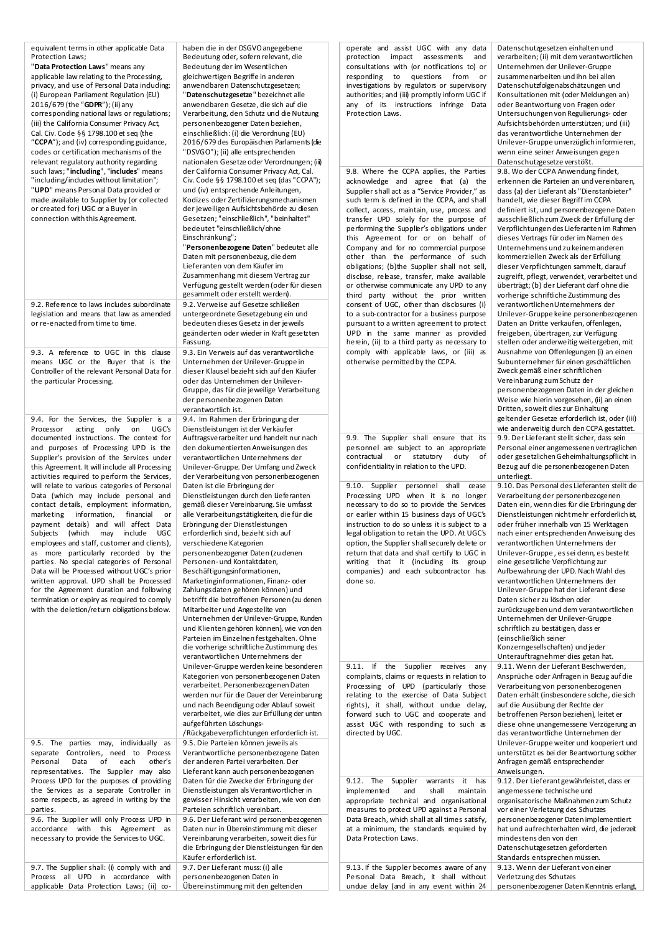equivalent terms in other applicable Data Protection Laws; "**Data Protection Laws**" means any

applicable law relating to the Processing, privacy, and use of Personal Data including: (i) European Parliament Regulation (EU) 2016/679 (the "**GDPR**"); (ii) any corresponding national laws or regulations; (iii) the California Consumer Privacy Act, Cal. Civ. Code §§ 1798.100 et seq (the "**CCPA**"); and (iv) corresponding guidance, codes or certification mechanisms of the relevant regulatory authority regarding such laws; "**including**", "**includes**" means "including/includes without limitation"; "**UPD**" means Personal Data provided or made available to Supplier by (or collected or created for) UGC or a Buyer in connection with this Agreement.

9.2. Reference to laws includes subordinate legislation and means that law as amended or re-enacted from time to time.

9.3. A reference to UGC in this clause means UGC or the Buyer that is the Controller of the relevant Personal Data for the particular Processing.

9.4. For the Services, the Supplier is a Processor acting only on UGC's documented instructions. The context for and purposes of Processing UPD is the Supplier's provision of the Services under this Agreement. It will include all Processing activities required to perform the Services, will relate to various categories of Personal Data (which may include personal and contact details, employment information, marketing information, financial or payment details) and will affect Data Subjects (which may include UGC employees and staff, customer and clients), as more particularly recorded by the parties. No special categories of Personal Data will be Processed without UGC's prior written approval. UPD shall be Processed for the Agreement duration and following termination or expiry as required to comply with the deletion/return obligations below.

9.5. The parties may, individually as separate Controllers, need to Process<br>Personal Data of each other's Personal Data of each other's representatives. The Supplier may also Process UPD for the purposes of providing the Services as a separate Controller in some respects, as agreed in writing by the parties.

9.6. The Supplier will only Process UPD in accordance with this Agreement as necessary to provide the Services to UGC.

9.7. The Supplier shall: (i) comply with and Process all UPD in accordance with applicable Data Protection Laws; (ii) cohaben die in der DSGVO angegebene Bedeutung oder, sofern relevant, die Bedeutung der im Wesentlichen gleichwertigen Begriffe in anderen anwendbaren Datenschutzgesetzen; "**Datenschutzgesetze**" bezeichnet alle anwendbaren Gesetze, die sich auf die Verarbeitung, den Schutz und die Nutzung personenbezogener Daten beziehen, einschließlich: (i) die Verordnung (EU) 2016/679 des Europäischen Parlaments (die "DSVGO"); (ii) alle entsprechenden nationalen Gesetze oder Verordnungen; (iii) der California Consumer Privacy Act, Cal. Civ. Code §§ 1798.100 et seq (das "CCPA"); und (iv) entsprechende Anleitungen, Kodizes oder Zertifizierungsmechanismen der jeweiligen Aufsichtsbehörde zu diesen Gesetzen; "einschließlich", "beinhaltet" bedeutet "einschließlich/ohne Einschränkung";

"**Personenbezogene Daten**" bedeutet alle Daten mit personenbezug, die dem Lieferanten von dem Käufer im Zusammenhang mit diesem Vertrag zur Verfügung gestellt werden (oder für diesen gesammelt oder erstellt werden). 9.2. Verweise auf Gesetze schließen untergeordnete Gesetzgebung ein und bedeuten dieses Gesetz in der jeweils geänderten oder wieder in Kraft gesetzten Fassung.

9.3. Ein Verweis auf das verantwortliche Unternehmen der Unilever-Gruppe in dieser Klausel bezieht sich auf den Käufer oder das Unternehmen der Unilever-Gruppe, das für die jeweilige Verarbeitung der personenbezogenen Daten verantwortlich ist.

9.4. Im Rahmen der Erbringung der Dienstleistungen ist der Verkäufer Auftragsverarbeiter und handelt nur nach den dokumentierten Anweisungen des verantwortlichen Unternehmens der Unilever-Gruppe. Der Umfang und Zweck der Verarbeitung von personenbezogenen Daten ist die Erbringung der Dienstleistungen durch den Lieferanten gemäß dieser Vereinbarung. Sie umfasst alle Verarbeitungstätigkeiten, die für die Erbringung der Dienstleistungen erforderlich sind, bezieht sich auf verschiedene Kategorien personenbezogener Daten (zu denen Personen- und Kontaktdaten, Beschäftigungsinformationen, Marketinginformationen, Finanz- oder Zahlungsdaten gehören können) und betrifft die betroffenen Personen (zu denen Mitarbeiter und Angestellte von Unternehmen der Unilever-Gruppe, Kunden und Klienten gehören können), wie von den Parteien im Einzelnen festgehalten. Ohne die vorherige schriftliche Zustimmung des verantwortlichen Unternehmens der Unilever-Gruppe werden keine besonderen Kategorien von personenbezogenen Daten verarbeitet. Personenbezogenen Daten werden nur für die Dauer der Vereinbarung und nach Beendigung oder Ablauf soweit verarbeitet, wie dies zur Erfüllung der unten aufgeführten Löschungs-

/Rückgabeverpflichtungen erforderlich ist. 9.5. Die Parteien können jeweils als Verantwortliche personenbezogene Daten der anderen Partei verarbeiten. Der Lieferant kann auch personenbezogenen Daten für die Zwecke der Erbringung der Dienstleistungen als Verantwortlicher in gewisser Hinsicht verarbeiten, wie von den Parteien schriftlich vereinbart. 9.6. Der Lieferant wird personenbezogenen Daten nur in Übereinstimmung mit dieser Vereinbarung verarbeiten, soweit dies für die Erbringung der Dienstleistungen für den Käufer erforderlich ist. 9.7. Der Lieferant muss: (i) alle

personenbezogenen Daten in Übereinstimmung mit den geltenden

operate and assist UGC with any data protection impact assessments and consultations with (or notifications to) or responding to questions from or investigations by regulators or supervisory authorities; and (iii) promptly inform UGC if any of its instructions infringe Data Protection Laws.

9.8. Where the CCPA applies, the Parties acknowledge and agree that (a) the Supplier shall act as a "Service Provider," as such term is defined in the CCPA, and shall collect, access, maintain, use, process and transfer UPD solely for the purpose of performing the Supplier's obligations under this Agreement for or on behalf of Company and for no commercial purpose other than the performance of such obligations; (b)the Supplier shall not sell, disclose, release, transfer, make available or otherwise communicate any UPD to any third party without the prior written consent of UGC, other than disclosures (i) to a sub-contractor for a business purpose pursuant to a written agreement to protect UPD in the same manner as provided herein, (ii) to a third party as necessary to comply with applicable laws, or (iii) as otherwise permitted by the CCPA.

9.9. The Supplier shall ensure that its personnel are subject to an appropriate<br>contractual or statutory duty of contractual or statutory duty confidentiality in relation to the UPD.

9.10. Supplier personnel shall cease Processing UPD when it is no longer necessary to do so to provide the Services or earlier within 15 business days of UGC's instruction to do so unless it is subject to a legal obligation to retain the UPD. At UGC's option, the Supplier shall securely delete or return that data and shall certify to UGC in writing that it (including its group companies) and each subcontractor has done so.

9.11. If the Supplier receives any complaints, claims or requests in relation to Processing of UPD (particularly those relating to the exercise of Data Subject rights), it shall, without undue delay, forward such to UGC and cooperate and assist UGC with responding to such as directed by UGC.

9.12. The Supplier warrants it has implemented and shall maintain appropriate technical and organisational measures to protect UPD against a Personal Data Breach, which shall at all times satisfy, at a minimum, the standards required by Data Protection Laws.

9.13. If the Supplier becomes aware of any Personal Data Breach, it shall without undue delay (and in any event within 24

Datenschutzgesetzen einhalten und verarbeiten; (ii) mit dem verantwortlichen Unternehmen der Unilever-Gruppe zusammenarbeiten und ihn bei allen Datenschutzfolgenabschätzungen und Konsultationen mit (oder Meldungen an) oder Beantwortung von Fragen oder Untersuchungen von Regulierungs- oder Aufsichtsbehörden unterstützen; und (iii) das verantwortliche Unternehmen der Unilever-Gruppe unverzüglich informieren, wenn eine seiner Anweisungen gegen Datenschutzgesetze verstößt. 9.8. Wo der CCPA Anwendung findet, erkennen die Parteien an und vereinbaren, dass (a) der Lieferant als "Dienstanbieter" handelt, wie dieser Begriff im CCPA definiert ist, und personenbezogene Daten ausschließlich zum Zweck der Erfüllung der Verpflichtungen des Lieferanten im Rahmen dieses Vertrags für oder im Namen des Unternehmens und zu keinem anderen kommerziellen Zweck als der Erfüllung dieser Verpflichtungen sammelt, darauf zugreift, pflegt, verwendet, verarbeitet und überträgt; (b) der Lieferant darf ohne die vorherige schriftliche Zustimmung des verantwortlichenUnternehmens der Unilever-Gruppe keine personenbezogenen Daten an Dritte verkaufen, offenlegen, freigeben, übertragen, zur Verfügung stellen oder anderweitig weitergeben, mit Ausnahme von Offenlegungen (i) an einen Subunternehmer für einen geschäftlichen Zweck gemäß einer schriftlichen Vereinbarung zum Schutz der personenbezogenen Daten in der gleichen Weise wie hierin vorgesehen, (ii) an einen Dritten, soweit dies zur Einhaltung geltender Gesetze erforderlich ist, oder (iii) wie anderweitig durch den CCPA gestattet. 9.9. Der Lieferant stellt sicher, dass sein Personal einer angemessenen vertraglichen oder gesetzlichen Geheimhaltungspflicht in Bezug auf die personenbezogenen Daten unterliegt. 9.10. Das Personal des Lieferanten stellt die Verarbeitung der personenbezogenen Daten ein, wenn dies für die Erbringung der Dienstleistungen nicht mehr erforderlich ist, oder früher innerhalb von 15 Werktagen nach einer entsprechenden Anweisung des verantwortlichen Unternehmens der Unilever-Gruppe , es sei denn, es besteht eine gesetzliche Verpflichtung zur Aufbewahrung der UPD. Nach Wahl des verantwortlichen Unternehmens der Unilever-Gruppe hat der Lieferant diese Daten sicher zu löschen oder zurückzugeben und dem verantwortlichen Unternehmen der Unilever-Gruppe schriftlich zu bestätigen, dass er (einschließlich seiner Konzerngesellschaften) und jeder Unterauftragnehmer dies getan hat. 9.11. Wenn der Lieferant Beschwerden, Ansprüche oder Anfragen in Bezug auf die Verarbeitung von personenbezogenen Daten erhält (insbesondere solche, die sich auf die Ausübung der Rechte der betroffenen Person beziehen), leitet er diese ohne unangemessene Verzögerung an das verantwortliche Unternehmen der Unilever-Gruppe weiter und kooperiert und unterstützt es bei der Beantwortung solcher Anfragen gemäß entsprechender Anweisungen. 9.12. Der Lieferant gewährleistet, dass er angemessene technische und organisatorische Maßnahmen zum Schutz vor einer Verletzung des Schutzes personenbezogener Daten implementiert hat und aufrechterhalten wird, die jederzeit mindestens den von den Datenschutzgesetzen geforderten Standards entsprechen müssen. 9.13. Wenn der Lieferant von einer

Verletzung des Schutzes

personenbezogener Daten Kenntnis erlangt,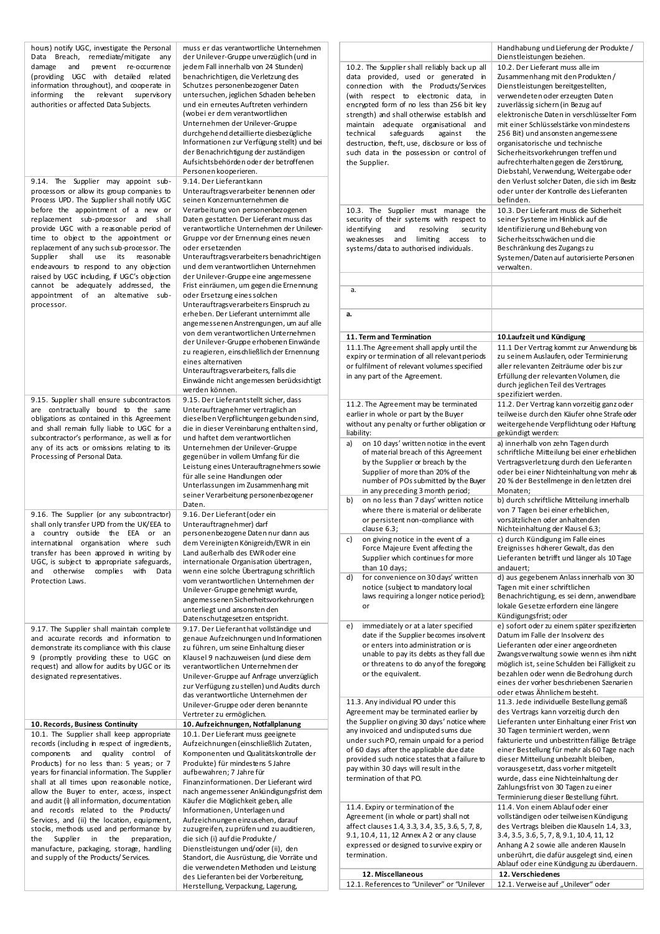| hours) notify UGC, investigate the Personal   | muss er das verantwortliche Unternehmen     |                                                                  | Handhabung und Lieferung der Produkte/                  |
|-----------------------------------------------|---------------------------------------------|------------------------------------------------------------------|---------------------------------------------------------|
| Data Breach, remediate/mitigate any           | der Unilever-Gruppe unverzüglich (und in    |                                                                  | Dienstleistungen beziehen.                              |
| damage and<br>prevent re-occurrence           | jedem Fall innerhalb von 24 Stunden)        | 10.2. The Supplier shall reliably back up all                    | 10.2. Der Lieferant muss alle im                        |
| (providing UGC with detailed related          | benachrichtigen, die Verletzung des         | data provided, used or generated in                              | Zusammenhang mit den Produkten /                        |
| information throughout), and cooperate in     | Schutzes personenbezogener Daten            | connection with the Products/Services                            | Dienstleistungen bereitgestellten,                      |
| informing the relevant supervisory            | untersuchen, jeglichen Schaden beheben      |                                                                  |                                                         |
|                                               |                                             | (with respect to electronic data, in                             | verwendeten oder erzeugten Daten                        |
| authorities or affected Data Subjects.        | und ein erneutes Auftreten verhindern       | encrypted form of no less than 256 bit key                       | zuverlässig sichern (in Bezug auf                       |
|                                               | (wobei er dem verantwortlichen              | strength) and shall otherwise establish and                      | elektronische Daten in verschlüsselter Form             |
|                                               | Unternehmen der Unilever-Gruppe             | maintain adequate organisational and                             | mit einer Schlüsselstärke von mindestens                |
|                                               | durchgehend detaillierte diesbezügliche     | technical<br>safeguards<br>the<br>against                        | 256 Bit) und ansonsten angemessene                      |
|                                               | Informationen zur Verfügung stellt) und bei | destruction, theft, use, disclosure or loss of                   | organisatorische und technische                         |
|                                               | der Benachrichtigung der zuständigen        |                                                                  |                                                         |
|                                               |                                             | such data in the possession or control of                        | Sicherheitsvorkehrungen treffen und                     |
|                                               | Aufsichtsbehörden oder der betroffenen      | the Supplier.                                                    | aufrechterhalten gegen die Zerstörung,                  |
|                                               | Personen kooperieren.                       |                                                                  | Diebstahl, Verwendung, Weitergabe oder                  |
| 9.14. The Supplier may appoint sub-           | 9.14. Der Lieferantkann                     |                                                                  | den Verlust solcher Daten, die sich im Besitz           |
| processors or allow its group companies to    | Unterauftragsverarbeiter benennen oder      |                                                                  | oder unter der Kontrolle des Lieferanten                |
| Process UPD. The Supplier shall notify UGC    |                                             |                                                                  | befinden.                                               |
|                                               | seinen Konzernunternehmen die               |                                                                  |                                                         |
| before the appointment of a new or            | Verarbeitung von personenbezogenen          | 10.3. The Supplier must manage the                               | 10.3. Der Lieferant muss die Sicherheit                 |
| replacement sub-processor and shall           | Daten gestatten. Der Lieferant muss das     | security of their systems with respect to                        | seiner Systeme im Hinblick auf die                      |
| provide UGC with a reasonable period of       | verantwortliche Unternehmen der Unilever-   | identifying<br>and<br>resolving<br>security                      | Identifizierung und Behebung von                        |
| time to object to the appointment or          | Gruppe vor der Ernennung eines neuen        | weaknesses<br>and<br>limiting access to                          | Sicherheitsschwächen und die                            |
|                                               |                                             |                                                                  |                                                         |
| replacement of any such sub-processor. The    | oder ersetzenden                            | systems/data to authorised individuals.                          | Beschränkung des Zugangs zu                             |
| Supplier shall use its reasonable             | Unterauftragsverarbeiters benachrichtigen   |                                                                  | Systemen/Daten auf autorisierte Personen                |
| endeavours to respond to any objection        | und dem verantwortlichen Unternehmen        |                                                                  | verwalten.                                              |
| raised by UGC including, if UGC's objection   | der Unilever-Gruppe eine angemessene        |                                                                  |                                                         |
| cannot be adequately addressed, the           | Frist einräumen, um gegen die Ernennung     |                                                                  |                                                         |
|                                               |                                             | a.                                                               |                                                         |
| appointment of an altemative sub-             | oder Ersetzung eines solchen                |                                                                  |                                                         |
| processor.                                    | Unterauftragsverarbeiters Einspruch zu      |                                                                  |                                                         |
|                                               | erheben. Der Lieferant unternimmt alle      | а.                                                               |                                                         |
|                                               | angemessenen Anstrengungen, um auf alle     |                                                                  |                                                         |
|                                               |                                             |                                                                  |                                                         |
|                                               | von dem verantwortlichen Unternehmen        | 11. Term and Termination                                         | 10.Laufzeit und Kündigung                               |
|                                               | der Unilever-Gruppe erhobenen Einwände      |                                                                  | 11.1 Der Vertrag kommt zur Anwendung bis                |
|                                               | zu reagieren, einschließlich der Ernennung  | 11.1. The Agreement shall apply until the                        |                                                         |
|                                               | eines alternativen                          | expiry or termination of all relevant periods                    | zu seinem Auslaufen, oder Terminierung                  |
|                                               | Unterauftragsverarbeiters, falls die        | or fulfilment of relevant volumes specified                      | aller relevanten Zeiträume oder bis zur                 |
|                                               |                                             | in any part of the Agreement.                                    | Erfüllung der relevanten Volumen, die                   |
|                                               | Einwände nicht angemessen berücksichtigt    |                                                                  | durch jeglichen Teil des Vertrages                      |
|                                               | werden können.                              |                                                                  | spezifiziert werden.                                    |
| 9.15. Supplier shall ensure subcontractors    | 9.15. Der Lieferantstellt sicher, dass      |                                                                  |                                                         |
| are contractually bound to the same           | Unterauftragnehmer vertraglich an           | 11.2. The Agreement may be terminated                            | 11.2. Der Vertrag kann vorzeitig ganz oder              |
| obligations as contained in this Agreement    | dieselben Verpflichtungen gebunden sind,    | earlier in whole or part by the Buyer                            | teilweise durch den Käufer ohne Strafe oder             |
|                                               |                                             | without any penalty or further obligation or                     | weitergehende Verpflichtung oder Haftung                |
| and shall remain fully liable to UGC for a    | die in dieser Vereinbarung enthalten sind,  | liability:                                                       | gekündigt werden:                                       |
| subcontractor's performance, as well as for   | und haftet dem verantwortlichen             |                                                                  |                                                         |
| any of its acts or omissions relating to its  | Unternehmen der Unilever-Gruppe             | on 10 days' written notice in the event<br>a)                    | a) innerhalb von zehn Tagen durch                       |
| Processing of Personal Data.                  | gegenüber in vollem Umfang für die          | of material breach of this Agreement                             | schriftliche Mitteilung bei einer erheblichen           |
|                                               |                                             | by the Supplier or breach by the                                 | Vertragsverletzung durch den Lieferanten                |
|                                               | Leistung eines Unterauftragnehmers sowie    | Supplier of more than 20% of the                                 | oder bei einer Nichteinhaltung von mehr as              |
|                                               | für alle seine Handlungen oder              | number of POs submitted by the Buyer                             | 20 % der Bestellmenge in den letzten drei               |
|                                               | Unterlassungen im Zusammenhang mit          |                                                                  |                                                         |
|                                               | seiner Verarbeitung personenbezogener       | in any preceding 3 month period;                                 | Monaten;                                                |
|                                               | Daten.                                      | on no less than 7 days' written notice<br>b)                     | b) durch schriftliche Mitteilung innerhalb              |
|                                               |                                             | where there is material or deliberate                            | von 7 Tagen bei einer erheblichen,                      |
| 9.16. The Supplier (or any subcontractor)     | 9.16. Der Lieferant (oder ein               | or persistent non-compliance with                                | vorsätzlichen oder anhaltenden                          |
| shall only transfer UPD from the UK/EEA to    | Unterauftragnehmer) darf                    | clause $6.3$ ;                                                   | Nichteinhaltung der Klausel 6.3;                        |
| a country outside the EEA or an               | personenbezogene Daten nur dann aus         |                                                                  |                                                         |
| international organisation where such         | dem Vereinigten Königreich/EWR in ein       | c) on giving notice in the event of a                            | c) durch Kündigung im Falle eines                       |
| transfer has been approved in writing by      | Land außerhalb des EWR oder eine            | Force Majeure Event affecting the                                | Ereignisses höherer Gewalt, das den                     |
| UGC, is subject to appropriate safeguards,    |                                             | Supplier which continues for more                                | Lieferanten betrifft und länger als 10 Tage             |
|                                               | internationale Organisation übertragen,     | than 10 days;                                                    | andauert;                                               |
| and otherwise complies with Data              | wenn eine solche Übertragung schriftlich    | for convenience on 30 days' written<br>d)                        | d) aus gegebenem Anlass innerhalb von 30                |
| Protection Laws.                              | vom verantwortlichen Unternehmen der        |                                                                  |                                                         |
|                                               | Unilever-Gruppe genehmigt wurde,            | notice (subject to mandatory local                               | Tagen mit einer schriftlichen                           |
|                                               | angemessenen Sicherheitsvorkehrungen        | laws requiring a longer notice period);                          | Benachrichtigung, es sei denn, anwendbare               |
|                                               |                                             | or                                                               | lokale Gesetze erfordern eine längere                   |
|                                               | unterliegt und ansonsten den                |                                                                  | Kündigungsfrist; oder                                   |
|                                               | Datenschutzgesetzen entspricht.             |                                                                  | e) sofort oder zu einem später spezifizierten           |
| 9.17. The Supplier shall maintain complete    | 9.17. Der Lieferant hat vollständige und    | immediately or at a later specified<br>e)                        |                                                         |
| and accurate records and information to       | genaue Aufzeichnungen und Informationen     | date if the Supplier becomes insolvent                           | Datum im Falle der Insolvenz des                        |
| demonstrate its compliance with this clause   | zu führen, um seine Einhaltung dieser       | or enters into administration or is                              | Lieferanten oder einer angeordneten                     |
| 9 (promptly providing these to UGC on         | Klausel 9 nachzuweisen (und diese dem       | unable to pay its debts as they fall due                         | Zwangsverwaltung sowie wennes ihm nicht                 |
| request) and allow for audits by UGC or its   | verantwortlichen Unternehmen der            | or threatens to do any of the foregoing                          | möglich ist, seine Schulden bei Fälligkeit zu           |
|                                               |                                             | or the equivalent.                                               | bezahlen oder wenn die Bedrohung durch                  |
| designated representatives.                   | Unilever-Gruppe auf Anfrage unverzüglich    |                                                                  |                                                         |
|                                               | zur Verfügung zu stellen) und Audits durch  |                                                                  | eines der vorher beschriebenen Szenarien                |
|                                               | das verantwortliche Unternehmen der         |                                                                  | oder etwas Ähnlichem besteht.                           |
|                                               | Unilever-Gruppe oder deren benannte         | 11.3. Any individual PO under this                               | 11.3. Jede individuelle Bestellung gemäß                |
|                                               | Vertreter zu ermöglichen.                   | Agreement may be terminated earlier by                           | des Vertrags kann vorzeitig durch den                   |
|                                               |                                             | the Supplier on giving 30 days' notice where                     | Lieferanten unter Einhaltung einer Frist von            |
| 10. Records, Business Continuity              | 10. Aufzeichnungen, Notfallplanung          | any invoiced and undisputed sums due                             | 30 Tagen terminiert werden, wenn                        |
| 10.1. The Supplier shall keep appropriate     | 10.1. Der Lieferant muss geeignete          |                                                                  |                                                         |
| records (including in respect of ingredients, | Aufzeichnungen (einschließlich Zutaten,     | under such PO, remain unpaid for a period                        | fakturierte und unbestritten fällige Beträge            |
| components and quality control of             | Komponenten und Qualitätskontrolle der      | of 60 days after the applicable due date                         | einer Bestellung für mehr als 60 Tage nach              |
|                                               |                                             | provided such notice states that a failure to                    | dieser Mitteilung unbezahlt bleiben,                    |
| Products) for no less than: 5 years; or 7     | Produkte) für mindestens 5 Jahre            | pay within 30 days will result in the                            | vorausgesetzt, dass vorher mitgeteilt                   |
| years for financial information. The Supplier | aufbewahren; 7 Jahre für                    |                                                                  |                                                         |
| shall at all times upon reasonable notice,    | Finanzinformationen. Der Lieferant wird     | termination of that PO.                                          | wurde, dass eine Nichteinhaltung der                    |
| allow the Buyer to enter, access, inspect     | nach angemessener Ankündigungsfrist dem     |                                                                  | Zahlungsfrist von 30 Tagen zu einer                     |
| and audit (i) all information, documentation  | Käufer die Möglichkeit geben, alle          |                                                                  | Terminierung dieser Bestellung führt.                   |
|                                               |                                             | 11.4. Expiry or termination of the                               | 11.4. Von einem Ablauf oder einer                       |
| and records related to the Products/          | Informationen, Unterlagen und               | Agreement (in whole or part) shall not                           | vollständigen oder teilweisen Kündigung                 |
| Services, and (ii) the location, equipment,   | Aufzeichnungen einzusehen, darauf           |                                                                  |                                                         |
| stocks, methods used and performance by       |                                             | affect clauses 1.4, 3.3, 3.4, 3.5, 3.6, 5, 7, 8,                 | des Vertrags bleiben die Klauseln 1.4, 3.3,             |
|                                               | zuzugreifen, zu prüfen und zu auditieren,   |                                                                  |                                                         |
|                                               |                                             | 9.1, 10.4, 11, 12 Annex A 2 or any clause                        | 3.4, 3.5, 3.6, 5, 7, 8, 9.1, 10.4, 11, 12               |
| the Supplier in the preparation,              | die sich (i) auf die Produkte /             | expressed or designed to survive expiry or                       | Anhang A 2 sowie alle anderen Klauseln                  |
| manufacture, packaging, storage, handling     | Dienstleistungen und/oder (ii), den         | termination.                                                     | unberührt, die dafür ausgelegt sind, einen              |
| and supply of the Products/Services.          | Standort, die Ausrüstung, die Vorräte und   |                                                                  |                                                         |
|                                               | die verwendeten Methoden und Leistung       |                                                                  | Ablauf oder eine Kündigung zu überdauern.               |
|                                               | des Lieferanten bei der Vorbereitung,       | 12. Miscellaneous<br>12.1. References to "Unilever" or "Unilever | 12. Verschiedenes<br>12.1. Verweise auf "Unilever" oder |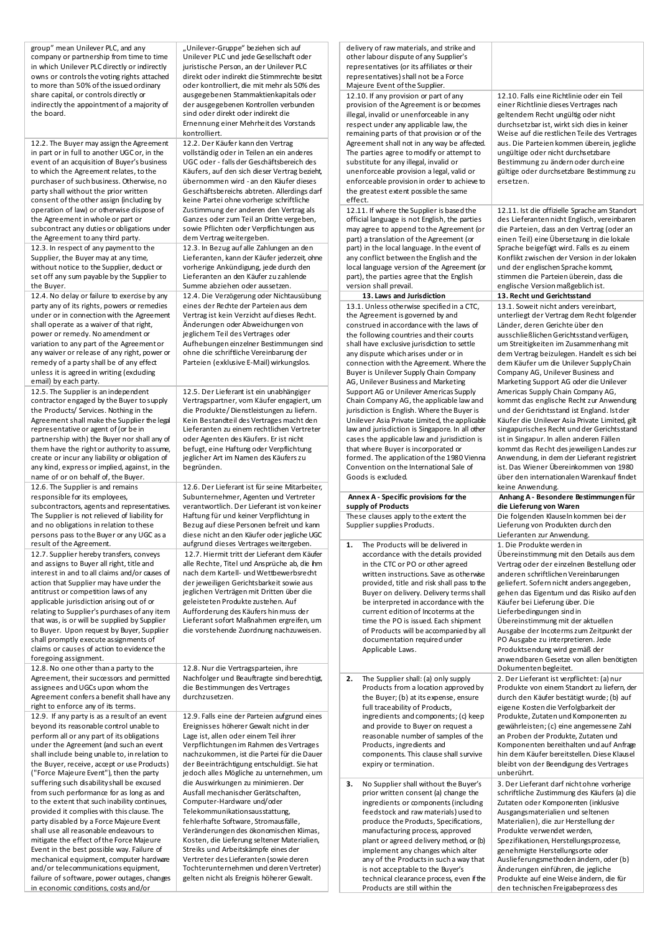group" mean Unilever PLC, and any company or partnership from time to time in which Unilever PLC directly or indirectly owns or controls the voting rights attached to more than 50% of the issued ordinary share capital, or controls directly or indirectly the appointment of a majority of the board.

12.2. The Buyer may assign the Agreement in part or in full to another UGC or, in the event of an acquisition of Buyer's business to which the Agreement relates, to the purchaser of such business. Otherwise, no party shall without the prior written consent of the other assign (including by operation of law) or otherwise dispose of the Agreement in whole or part or subcontract any duties or obligations under the Agreement to any third party. 12.3. In respect of any payment to the Supplier, the Buyer may at any time, without notice to the Supplier, deduct or set off any sum payable by the Supplier to the Buyer.

12.4. No delay or failure to exercise by any party any of its rights, powers or remedies under or in connection with the Agreement shall operate as a waiver of that right, power or remedy. No amendment or variation to any part of the Agreement or any waiver or release of any right, power or remedy of a party shall be of any effect unless it is agreed in writing (exduding email) by each party.

12.5. The Supplier is an independent contractor engaged by the Buyer to supply the Products/ Services. Nothing in the Agreement shall make the Supplier the legal representative or agent of (or be in partnership with) the Buyer nor shall any of them have the right or authority to assume, create or incur any liability or obligation of any kind, express or implied, against, in the name of or on behalf of, the Buyer. 12.6. The Supplier is and remains responsible for its employees, subcontractors, agents and representatives. The Supplier is not relieved of liability for and no obligations in relation to these persons pass to the Buyer or any UGC as a result of the Agreement.

12.7. Supplier hereby transfers, conveys and assigns to Buyer all right, title and interest in and to all claims and/or causes of action that Supplier may have under the antitrust or competition laws of any applicable jurisdiction arising out of or relating to Supplier's purchases of any item that was, is or will be supplied by Supplier to Buyer. Upon request by Buyer, Supplier shall promptly execute assignments of claims or causes of action to evidence the foregoing assignment.

12.8. No one other than a party to the Agreement, their successors and permitted assignees and UGCs upon whom the Agreement confers a benefit shall have any right to enforce any of its terms. 12.9. If any party is as a result of an event beyond its reasonable control unable to perform all or any part of its obligations under the Agreement (and such an event shall include being unable to, in relation to the Buyer, receive, accept or use Products) ("Force Majeure Event"), then the party suffering such disability shall be excused from such performance for as long as and to the extent that such inability continues, provided it complies with this clause. The party disabled by a Force Majeure Event shall use all reasonable endeavours to mitigate the effect of the Force Majeure Event in the best possible way. Failure of mechanical equipment, computer hardware and/or telecommunications equipment, failure of software, power outages, changes in economic conditions, costs and/or

"Unilever-Gruppe" beziehen sich auf Unilever PLC und jede Gesellschaft oder juristische Person, an der Unilever PLC direkt oder indirekt die Stimmrechte besitzt oder kontrolliert, die mit mehr als 50% des ausgegebenen Stammaktienkapitals oder der ausgegebenen Kontrollen verbunden sind oder direkt oder indirekt die Ernennung einer Mehrheit des Vorstands kontrolliert.

12.2. Der Käufer kann den Vertrag vollständig oder in Teilen an ein anderes UGC oder - falls der Geschäftsbereich des Käufers, auf den sich dieser Vertrag bezieht, übernommen wird - an den Käufer dieses Geschäftsbereichs abtreten. Allerdings darf keine Partei ohne vorherige schriftliche Zustimmung der anderen den Vertrag als Ganzes oder zum Teil an Dritte vergeben, sowie Pflichten oder Verpflichtungen aus dem Vertrag weitergeben.

12.3. In Bezug auf alle Zahlungen an den Lieferanten, kann der Käufer jederzeit, ohne vorherige Ankündigung, jede durch den Lieferanten an den Käufer zu zahlende Summe abziehen oder aussetzen. 12.4. Die Verzögerung oder Nichtausübung eines der Rechte der Parteien aus dem Vertrag ist kein Verzicht auf dieses Recht. Änderungen oder Abweichungen von jeglichem Teil des Vertrages oder Aufhebungen einzelner Bestimmungen sind ohne die schriftliche Vereinbarung der Parteien (exklusive E-Mail) wirkungslos.

12.5. Der Lieferant ist ein unabhängiger Vertragspartner, vom Käufer engagiert, um die Produkte/ Dienstleistungen zu liefern. Kein Bestandteil des Vertrages macht den Lieferanten zu einem rechtlichen Vertreter oder Agenten des Käufers. Er ist nicht befugt, eine Haftung oder Verpflichtung jeglicher Art im Namen des Käufers zu begründen.

12.6. Der Lieferant ist für seine Mitarbeiter, Subunternehmer, Agenten und Vertreter verantwortlich. Der Lieferant ist von keiner Haftung für und keiner Verpflichtung in Bezug auf diese Personen befreit und kann diese nicht an den Käufer oder jegliche UGC aufgrund dieses Vertrages weitergeben. 12.7. Hiermit tritt der Lieferant dem Käufer alle Rechte, Titel und Ansprüche ab, die ihm nach dem Kartell- und Wettbewerbsrecht der jeweiligen Gerichtsbarkeit sowie aus jeglichen Verträgen mit Dritten über die geleisteten Produkte zustehen. Auf Aufforderung des Käufers hin muss der Lieferant sofort Maßnahmen ergreifen, um die vorstehende Zuordnung nachzuweisen.

12.8. Nur die Vertragsparteien, ihre Nachfolger und Beauftragte sind berechtigt, die Bestimmungen des Vertrages durchzusetzen.

12.9. Falls eine der Parteien aufgrund eines Ereignisses höherer Gewalt nicht in der Lage ist, allen oder einem Teil ihrer Verpflichtungen im Rahmen des Vertrages nachzukommen, ist die Partei für die Dauer der Beeinträchtigung entschuldigt. Sie hat jedoch alles Mögliche zu unternehmen, um die Auswirkungen zu minimieren. Der Ausfall mechanischer Gerätschaften, Computer-Hardware und/oder Telekommunikationsausstattung, fehlerhafte Software, Stromausfälle, Veränderungen des ökonomischen Klimas, Kosten, die Lieferung seltener Materialien, Streiks und Arbeitskämpfe eines der Vertreter des Lieferanten (sowie deren Tochterunternehmen und deren Vertreter) gelten nicht als Ereignis höherer Gewalt.

Products are still within the

|         | delivery of raw materials, and strike and<br>other labour dispute of any Supplier's<br>representatives (or its affiliates or their<br>representatives) shall not be a Force<br>Majeure Event of the Supplier.                                                                                                                                                                                                                                                                                                                                                                                                                                                                                                                                                                               |                                                                                                                                                                                                                                                                                                                                                                                                                                                                                                                                                                                                                                                                                                                                                                                                                              |
|---------|---------------------------------------------------------------------------------------------------------------------------------------------------------------------------------------------------------------------------------------------------------------------------------------------------------------------------------------------------------------------------------------------------------------------------------------------------------------------------------------------------------------------------------------------------------------------------------------------------------------------------------------------------------------------------------------------------------------------------------------------------------------------------------------------|------------------------------------------------------------------------------------------------------------------------------------------------------------------------------------------------------------------------------------------------------------------------------------------------------------------------------------------------------------------------------------------------------------------------------------------------------------------------------------------------------------------------------------------------------------------------------------------------------------------------------------------------------------------------------------------------------------------------------------------------------------------------------------------------------------------------------|
| effect. | 12.10. If any provision or part of any<br>provision of the Agreement is or becomes<br>illegal, invalid or unenforceable in any<br>respect under any applicable law, the<br>remaining parts of that provision or of the<br>Agreement shall not in any way be affected.<br>The parties agree to modify or attempt to<br>substitute for any illegal, invalid or<br>unenforceable provision a legal, valid or<br>enforceable provision in order to achieve to<br>the greatest extent possible the same                                                                                                                                                                                                                                                                                          | 12.10. Falls eine Richtlinie oder ein Teil<br>einer Richtlinie dieses Vertrages nach<br>geltendem Recht ungültig oder nicht<br>durchsetzbar ist, wirkt sich dies in keiner<br>Weise auf die restlichen Teile des Vertrages<br>aus. Die Parteien kommen überein, jegliche<br>ungültige oder nicht durchsetzbare<br>Bestimmung zu ändern oder durch eine<br>gültige oder durchsetzbare Bestimmung zu<br>ersetzen.                                                                                                                                                                                                                                                                                                                                                                                                              |
|         | 12.11. If where the Supplier is based the<br>official language is not English, the parties<br>may agree to append to the Agreement (or<br>part) a translation of the Agreement (or<br>part) in the local language. In the event of<br>any conflict between the English and the<br>local language version of the Agreement (or<br>part), the parties agree that the English<br>version shall prevail.                                                                                                                                                                                                                                                                                                                                                                                        | 12.11. Ist die offizielle Sprache am Standort<br>des Lieferanten nicht Englisch, vereinbaren<br>die Parteien, dass an den Vertrag (oder an<br>einen Teil) eine Übersetzung in die lokale<br>Sprache beigefügt wird. Falls es zu einem<br>Konflikt zwischen der Version in der lokalen<br>und der englischen Sprache kommt,<br>stimmen die Parteien überein, dass die<br>englische Version maßgeblich ist.                                                                                                                                                                                                                                                                                                                                                                                                                    |
|         | 13. Laws and Jurisdiction<br>13.1. Unless otherwise specified in a CTC,                                                                                                                                                                                                                                                                                                                                                                                                                                                                                                                                                                                                                                                                                                                     | 13. Recht und Gerichtsstand<br>13.1. Soweit nicht anders vereinbart,                                                                                                                                                                                                                                                                                                                                                                                                                                                                                                                                                                                                                                                                                                                                                         |
|         | the Agreement is governed by and<br>construed in accordance with the laws of<br>the following countries and their courts<br>shall have exclusive jurisdiction to settle<br>any dispute which arises under or in<br>connection with the Agreement. Where the<br>Buyer is Unilever Supply Chain Company<br>AG, Unilever Business and Marketing<br>Support AG or Unilever Americas Supply<br>Chain Company AG, the applicable law and<br>jurisdiction is English. Where the Buyer is<br>Unilever Asia Private Limited, the applicable<br>law and jurisdiction is Singapore. In all other<br>cases the applicable law and jurisdiction is<br>that where Buyer is incorporated or<br>formed. The application of the 1980 Vienna<br>Convention on the International Sale of<br>Goods is excluded. | unterliegt der Vertrag dem Recht folgender<br>Länder, deren Gerichte über den<br>ausschließlichen Gerichtsstand verfügen,<br>um Streitigkeiten im Zusammenhang mit<br>dem Vertrag beizulegen. Handelt es sich bei<br>dem Käufer um die Unilever Supply Chain<br>Company AG, Unilever Business and<br>Marketing Support AG oder die Unilever<br>Americas Supply Chain Company AG,<br>kommt das englische Recht zur Anwendung<br>und der Gerichtsstand ist England. Ist der<br>Käufer die Unilever Asia Private Limited, gilt<br>singapurisches Recht und der Gerichtsstand<br>ist in Singapur. In allen anderen Fällen<br>kommt das Recht des jeweiligen Landes zur<br>Anwendung, in dem der Lieferant registriert<br>ist. Das Wiener Übereinkommen von 1980<br>über den internationalen Warenkauf findet<br>keine Anwendung. |
|         | Annex A - Specific provisions for the                                                                                                                                                                                                                                                                                                                                                                                                                                                                                                                                                                                                                                                                                                                                                       | Anhang A - Besondere Bestimmungen für                                                                                                                                                                                                                                                                                                                                                                                                                                                                                                                                                                                                                                                                                                                                                                                        |
|         | supply of Products<br>These clauses apply to the extent the<br>Supplier supplies Products.                                                                                                                                                                                                                                                                                                                                                                                                                                                                                                                                                                                                                                                                                                  | die Lieferung von Waren<br>Die folgenden Klauseln kommen bei der<br>Lieferung von Produkten durch den                                                                                                                                                                                                                                                                                                                                                                                                                                                                                                                                                                                                                                                                                                                        |
| 1.      | The Products will be delivered in<br>accordance with the details provided<br>in the CTC or PO or other agreed<br>written instructions. Save as otherwise<br>provided, title and risk shall pass to the<br>Buyer on delivery. Delivery terms shall<br>be interpreted in accordance with the<br>current edition of Incoterms at the<br>time the PO is issued. Each shipment<br>of Products will be accompanied by all<br>documentation required under<br>Applicable Laws.                                                                                                                                                                                                                                                                                                                     | Lieferanten zur Anwendung.<br>1. Die Produkte werden in<br>Übereinstimmung mit den Details aus dem<br>Vertrag oder der einzelnen Bestellung oder<br>anderen schriftlichen Vereinbarungen<br>geliefert. Sofern nicht anders angegeben,<br>gehen das Eigentum und das Risiko auf den<br>Käufer bei Lieferung über. Die<br>Lieferbedingungen sind in<br>Übereinstimmung mit der aktuellen<br>Ausgabe der Incoterms zum Zeitpunkt der<br>PO Ausgabe zu interpretieren. Jede<br>Produktsendung wird gemäß der<br>anwendbaren Gesetze von allen benötigten<br>Dokumenten begleitet.                                                                                                                                                                                                                                                |
| 2.      | The Supplier shall: (a) only supply<br>Products from a location approved by<br>the Buyer; (b) at its expense, ensure<br>full traceability of Products,<br>ingredients and components; (c) keep<br>and provide to Buyer on request a<br>reasonable number of samples of the<br>Products, ingredients and<br>components. This clause shall survive<br>expiry or termination.                                                                                                                                                                                                                                                                                                                                                                                                                  | 2. Der Lieferant ist verpflichtet: (a) nur<br>Produkte von einem Standort zu liefern, der<br>durch den Käufer bestätigt wurde; (b) auf<br>eigene Kosten die Verfolgbarkeit der<br>Produkte, Zutaten und Komponenten zu<br>gewährleisten; (c) eine angemessene Zahl<br>an Proben der Produkte, Zutaten und<br>Komponenten bereithalten und auf Anfrage<br>hin dem Käufer bereitstellen. Diese Klausel<br>bleibt von der Beendigung des Vertrages<br>unberührt.                                                                                                                                                                                                                                                                                                                                                                |
| 3.      | No Supplier shall without the Buyer's<br>prior written consent (a) change the<br>ingredients or components (including<br>feedstock and raw materials) used to<br>produce the Products, Specifications,<br>manufacturing process, approved<br>plant or agreed delivery method, or (b)<br>implement any changes which alter<br>any of the Products in such a way that<br>is not acceptable to the Buyer's<br>technical clearance process, even if the                                                                                                                                                                                                                                                                                                                                         | 3. Der Lieferant darf nicht ohne vorherige<br>schriftliche Zustimmung des Käufers (a) die<br>Zutaten oder Komponenten (inklusive<br>Ausgangsmaterialien und seltenen<br>Materialien), die zur Herstellung der<br>Produkte verwendet werden,<br>Spezifikationen, Herstellungsprozesse,<br>genehmigte Herstellungsorte oder<br>Auslieferungsmethoden ändern, oder (b)<br>Änderungen einführen, die jegliche<br>Produkte auf eine Weise ändern, die für                                                                                                                                                                                                                                                                                                                                                                         |

den technischen Freigabeprozess des